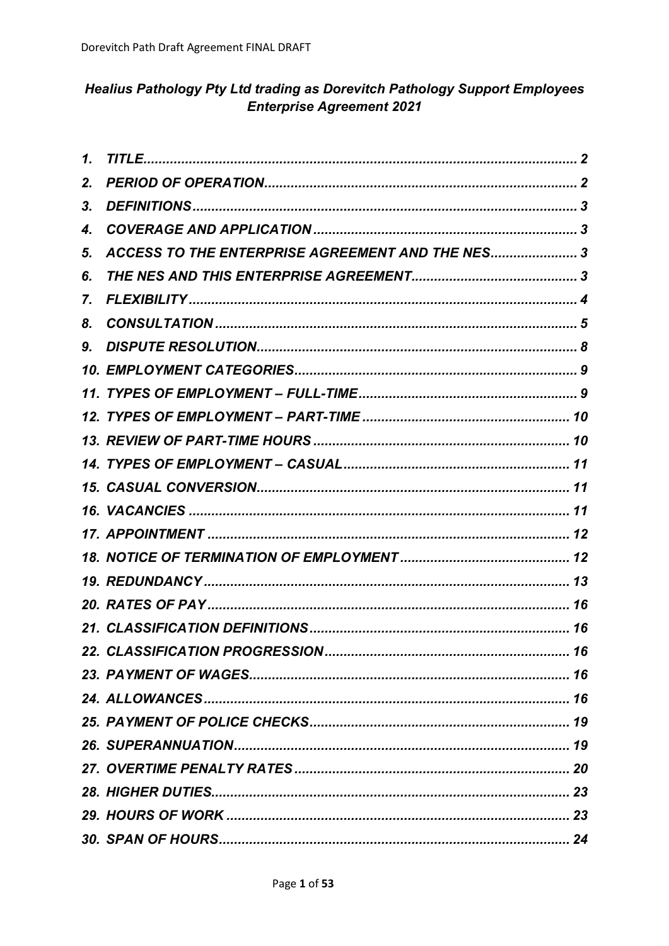# **Healius Pathology Pty Ltd trading as Dorevitch Pathology Support Employees Enterprise Agreement 2021**

| 1. |                                                  |  |
|----|--------------------------------------------------|--|
| 2. |                                                  |  |
| 3. |                                                  |  |
| 4. |                                                  |  |
| 5. | ACCESS TO THE ENTERPRISE AGREEMENT AND THE NES 3 |  |
| 6. |                                                  |  |
| 7. |                                                  |  |
| 8. |                                                  |  |
| 9. |                                                  |  |
|    |                                                  |  |
|    |                                                  |  |
|    |                                                  |  |
|    |                                                  |  |
|    |                                                  |  |
|    |                                                  |  |
|    |                                                  |  |
|    |                                                  |  |
|    |                                                  |  |
|    |                                                  |  |
|    |                                                  |  |
|    |                                                  |  |
|    |                                                  |  |
|    |                                                  |  |
|    |                                                  |  |
|    |                                                  |  |
|    |                                                  |  |
|    |                                                  |  |
|    |                                                  |  |
|    |                                                  |  |
|    |                                                  |  |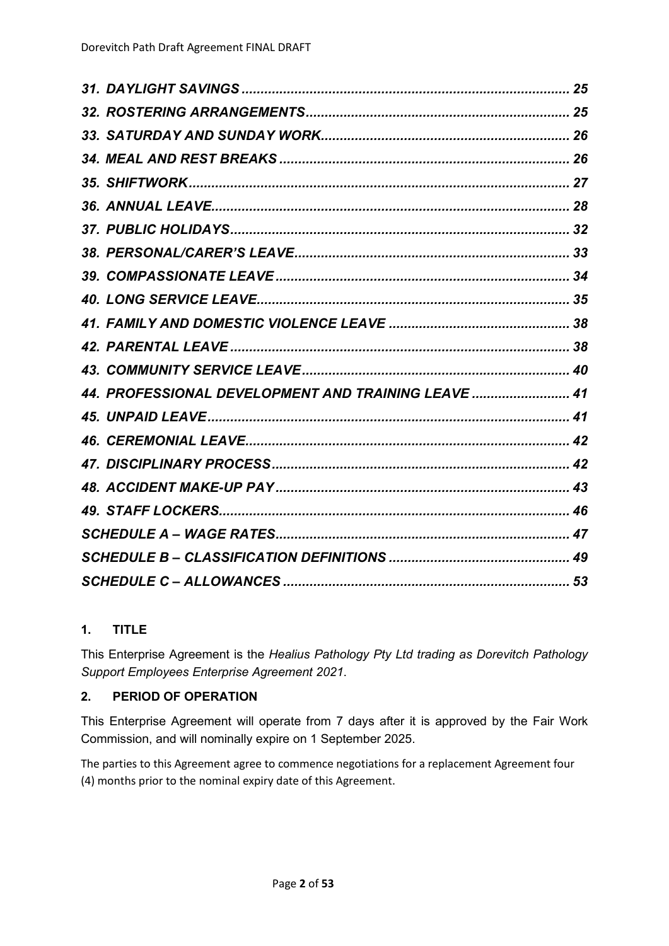| 44. PROFESSIONAL DEVELOPMENT AND TRAINING LEAVE  41 |  |
|-----------------------------------------------------|--|
|                                                     |  |
|                                                     |  |
|                                                     |  |
|                                                     |  |
|                                                     |  |
|                                                     |  |
|                                                     |  |
|                                                     |  |

# <span id="page-1-0"></span>**1. TITLE**

This Enterprise Agreement is the *Healius Pathology Pty Ltd trading as Dorevitch Pathology Support Employees Enterprise Agreement 2021*.

# <span id="page-1-1"></span>**2. PERIOD OF OPERATION**

This Enterprise Agreement will operate from 7 days after it is approved by the Fair Work Commission, and will nominally expire on 1 September 2025.

The parties to this Agreement agree to commence negotiations for a replacement Agreement four (4) months prior to the nominal expiry date of this Agreement.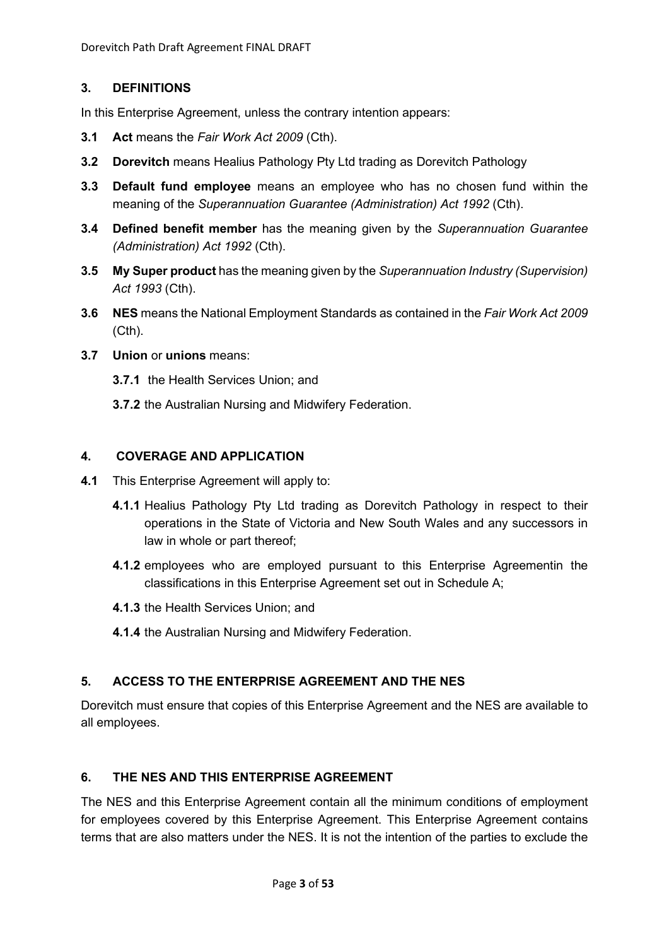# <span id="page-2-0"></span>**3. DEFINITIONS**

In this Enterprise Agreement, unless the contrary intention appears:

- **3.1 Act** means the *Fair Work Act 2009* (Cth).
- **3.2 Dorevitch** means Healius Pathology Pty Ltd trading as Dorevitch Pathology
- **3.3 Default fund employee** means an employee who has no chosen fund within the meaning of the *Superannuation Guarantee (Administration) Act 1992* (Cth).
- **3.4 Defined benefit member** has the meaning given by the *Superannuation Guarantee (Administration) Act 1992* (Cth).
- **3.5 My Super product** has the meaning given by the *Superannuation Industry (Supervision) Act 1993* (Cth).
- **3.6 NES** means the National Employment Standards as contained in the *Fair Work Act 2009*  (Cth).
- **3.7 Union** or **unions** means:
	- **3.7.1** the Health Services Union; and
	- **3.7.2** the Australian Nursing and Midwifery Federation.

# <span id="page-2-1"></span>**4. COVERAGE AND APPLICATION**

- **4.1** This Enterprise Agreement will apply to:
	- **4.1.1** Healius Pathology Pty Ltd trading as Dorevitch Pathology in respect to their operations in the State of Victoria and New South Wales and any successors in law in whole or part thereof;
	- **4.1.2** employees who are employed pursuant to this Enterprise Agreementin the classifications in this Enterprise Agreement set out in Schedule A;
	- **4.1.3** the Health Services Union; and
	- **4.1.4** the Australian Nursing and Midwifery Federation.

# <span id="page-2-2"></span>**5. ACCESS TO THE ENTERPRISE AGREEMENT AND THE NES**

Dorevitch must ensure that copies of this Enterprise Agreement and the NES are available to all employees.

# <span id="page-2-3"></span>**6. THE NES AND THIS ENTERPRISE AGREEMENT**

The NES and this Enterprise Agreement contain all the minimum conditions of employment for employees covered by this Enterprise Agreement. This Enterprise Agreement contains terms that are also matters under the NES. It is not the intention of the parties to exclude the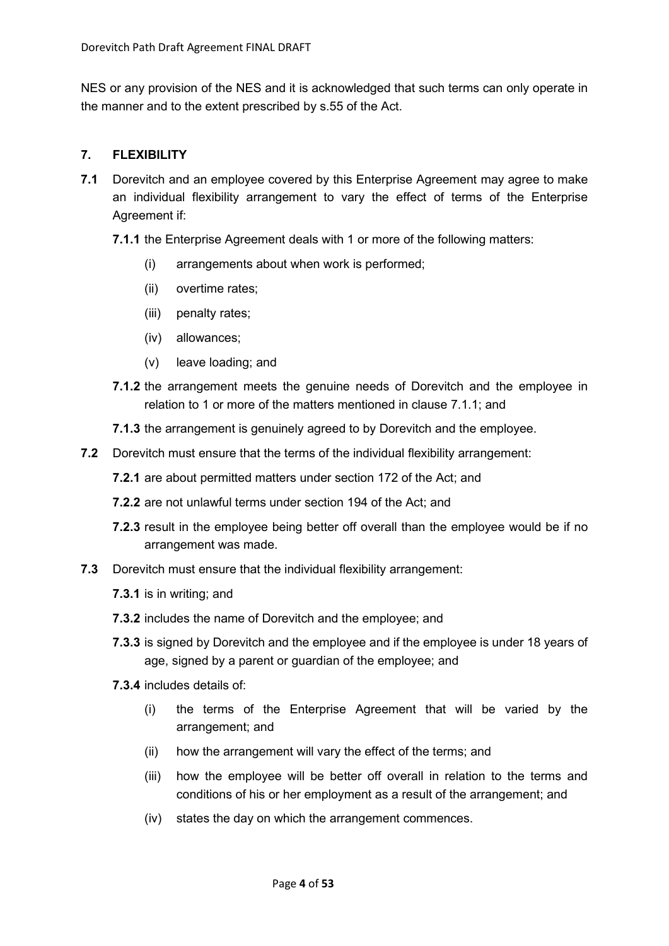NES or any provision of the NES and it is acknowledged that such terms can only operate in the manner and to the extent prescribed by s.55 of the Act.

## <span id="page-3-0"></span>**7. FLEXIBILITY**

- <span id="page-3-1"></span>**7.1** Dorevitch and an employee covered by this Enterprise Agreement may agree to make an individual flexibility arrangement to vary the effect of terms of the Enterprise Agreement if:
	- **7.1.1** the Enterprise Agreement deals with 1 or more of the following matters:
		- (i) arrangements about when work is performed;
		- (ii) overtime rates;
		- (iii) penalty rates;
		- (iv) allowances;
		- (v) leave loading; and
	- **7.1.2** the arrangement meets the genuine needs of Dorevitch and the employee in relation to 1 or more of the matters mentioned in clause [7.1.1;](#page-3-1) and
	- **7.1.3** the arrangement is genuinely agreed to by Dorevitch and the employee.
- **7.2** Dorevitch must ensure that the terms of the individual flexibility arrangement:
	- **7.2.1** are about permitted matters under [section](http://www.austlii.edu.au/au/legis/cth/consol_act/fwa2009114/s172.html) 172 of the Act; and
	- **7.2.2** are not unlawful terms under [section](http://www.austlii.edu.au/au/legis/cth/consol_act/fwa2009114/s194.html) 194 of the [Act;](http://www.austlii.edu.au/au/legis/cth/consol_act/fwa2009114/) and
	- **7.2.3** result in the employee being better off overall than the employee would be if no arrangement was made.
- **7.3** Dorevitch must ensure that the individual flexibility arrangement:
	- **7.3.1** is in writing; and
	- **7.3.2** includes the name of Dorevitch and the employee; and
	- **7.3.3** is signed by Dorevitch and the employee and if the employee is under 18 years of age, signed by a parent or guardian of the employee; and
	- **7.3.4** includes details of:
		- (i) the terms of the Enterprise Agreement that will be varied by the arrangement; and
		- (ii) how the arrangement will vary the effect of the terms; and
		- (iii) how the employee will be better off overall in relation to the terms and conditions of his or her employment as a result of the arrangement; and
		- (iv) states the day on which the arrangement commences.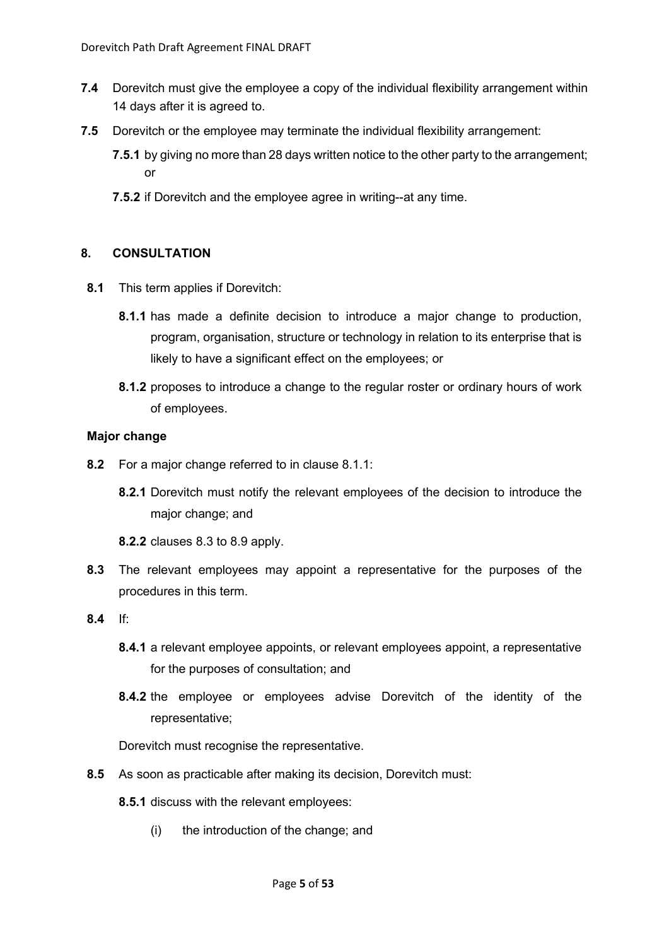- **7.4** Dorevitch must give the employee a copy of the individual flexibility arrangement within 14 days after it is agreed to.
- **7.5** Dorevitch or the employee may terminate the individual flexibility arrangement:
	- **7.5.1** by giving no more than 28 days written notice to the other party to the arrangement; or
	- **7.5.2** if Dorevitch and the employee agree in writing--at any time.

## <span id="page-4-0"></span>**8. CONSULTATION**

- <span id="page-4-6"></span><span id="page-4-1"></span>**8.1** This term applies if Dorevitch:
	- **8.1.1** has made a definite decision to introduce a major change to production, program, organisation, structure or technology in relation to its enterprise that is likely to have a significant effect on the employees; or
	- **8.1.2** proposes to introduce a change to the regular roster or ordinary hours of work of employees.

## <span id="page-4-5"></span>**Major change**

- <span id="page-4-3"></span>**8.2** For a major change referred to in clause [8.1.1:](#page-4-1)
	- **8.2.1** Dorevitch must notify the relevant employees of the decision to introduce the major change; and
	- **8.2.2** clauses [8.3](#page-4-2) to [8.9](#page-5-0) apply.
- <span id="page-4-2"></span>**8.3** The relevant employees may appoint a representative for the purposes of the procedures in this term.
- **8.4** If:
	- **8.4.1** a relevant employee appoints, or relevant employees appoint, a representative for the purposes of consultation; and
	- **8.4.2** the employee or employees advise Dorevitch of the identity of the representative;

Dorevitch must recognise the representative.

- <span id="page-4-4"></span>**8.5** As soon as practicable after making its decision, Dorevitch must:
	- **8.5.1** discuss with the relevant employees:
		- (i) the introduction of the change; and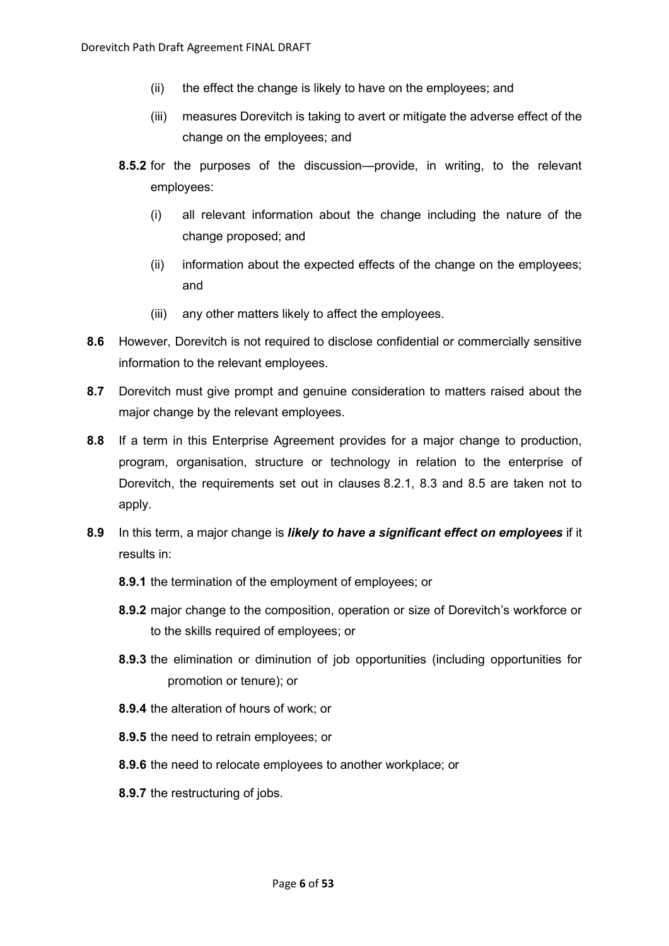- (ii) the effect the change is likely to have on the employees; and
- (iii) measures Dorevitch is taking to avert or mitigate the adverse effect of the change on the employees; and
- **8.5.2** for the purposes of the discussion—provide, in writing, to the relevant employees:
	- (i) all relevant information about the change including the nature of the change proposed; and
	- (ii) information about the expected effects of the change on the employees; and
	- (iii) any other matters likely to affect the employees.
- **8.6** However, Dorevitch is not required to disclose confidential or commercially sensitive information to the relevant employees.
- **8.7** Dorevitch must give prompt and genuine consideration to matters raised about the major change by the relevant employees.
- **8.8** If a term in this Enterprise Agreement provides for a major change to production, program, organisation, structure or technology in relation to the enterprise of Dorevitch, the requirements set out in clauses [8.2.1,](#page-4-3) [8.3](#page-4-2) and [8.5](#page-4-4) are taken not to apply.
- <span id="page-5-0"></span>**8.9** In this term, a major change is *likely to have a significant effect on employees* if it results in:
	- **8.9.1** the termination of the employment of employees; or
	- **8.9.2** major change to the composition, operation or size of Dorevitch's workforce or to the skills required of employees; or
	- **8.9.3** the elimination or diminution of job opportunities (including opportunities for promotion or tenure); or
	- **8.9.4** the alteration of hours of work; or
	- **8.9.5** the need to retrain employees; or
	- **8.9.6** the need to relocate employees to another workplace; or
	- **8.9.7** the restructuring of jobs.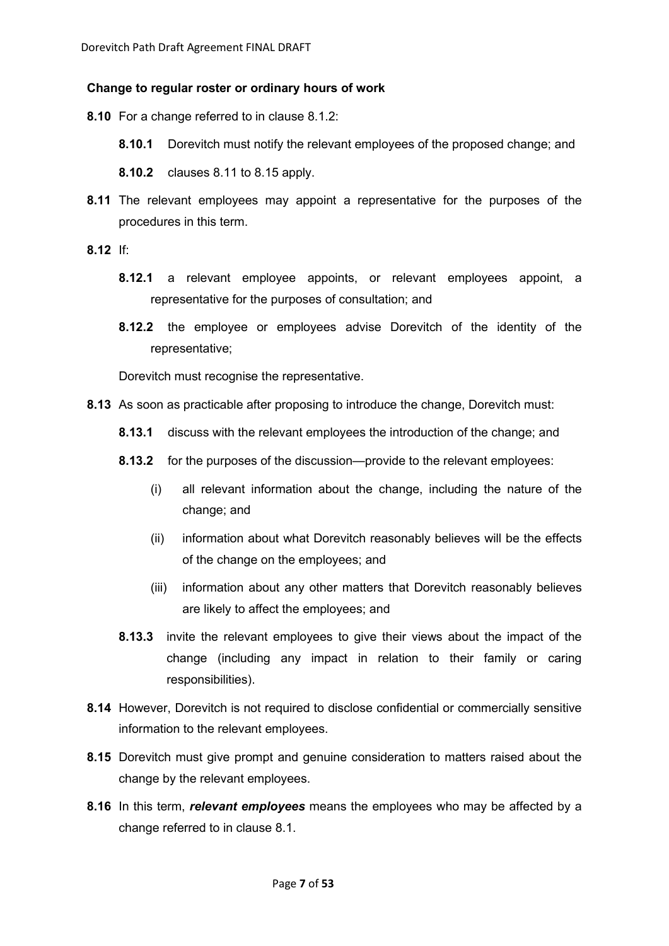#### **Change to regular roster or ordinary hours of work**

- **8.10** For a change referred to in clause [8.1.2:](#page-4-5)
	- **8.10.1** Dorevitch must notify the relevant employees of the proposed change; and
	- **8.10.2** clauses [8.11](#page-6-0) to [8.15](#page-6-1) apply.
- <span id="page-6-0"></span>**8.11** The relevant employees may appoint a representative for the purposes of the procedures in this term.
- **8.12** If:
	- **8.12.1** a relevant employee appoints, or relevant employees appoint, a representative for the purposes of consultation; and
	- **8.12.2** the employee or employees advise Dorevitch of the identity of the representative;

Dorevitch must recognise the representative.

- **8.13** As soon as practicable after proposing to introduce the change, Dorevitch must:
	- **8.13.1** discuss with the relevant employees the introduction of the change; and
	- **8.13.2** for the purposes of the discussion—provide to the relevant employees:
		- (i) all relevant information about the change, including the nature of the change; and
		- (ii) information about what Dorevitch reasonably believes will be the effects of the change on the employees; and
		- (iii) information about any other matters that Dorevitch reasonably believes are likely to affect the employees; and
	- **8.13.3** invite the relevant employees to give their views about the impact of the change (including any impact in relation to their family or caring responsibilities).
- **8.14** However, Dorevitch is not required to disclose confidential or commercially sensitive information to the relevant employees.
- <span id="page-6-1"></span>**8.15** Dorevitch must give prompt and genuine consideration to matters raised about the change by the relevant employees.
- **8.16** In this term, *relevant employees* means the employees who may be affected by a change referred to in clause [8.1.](#page-4-6)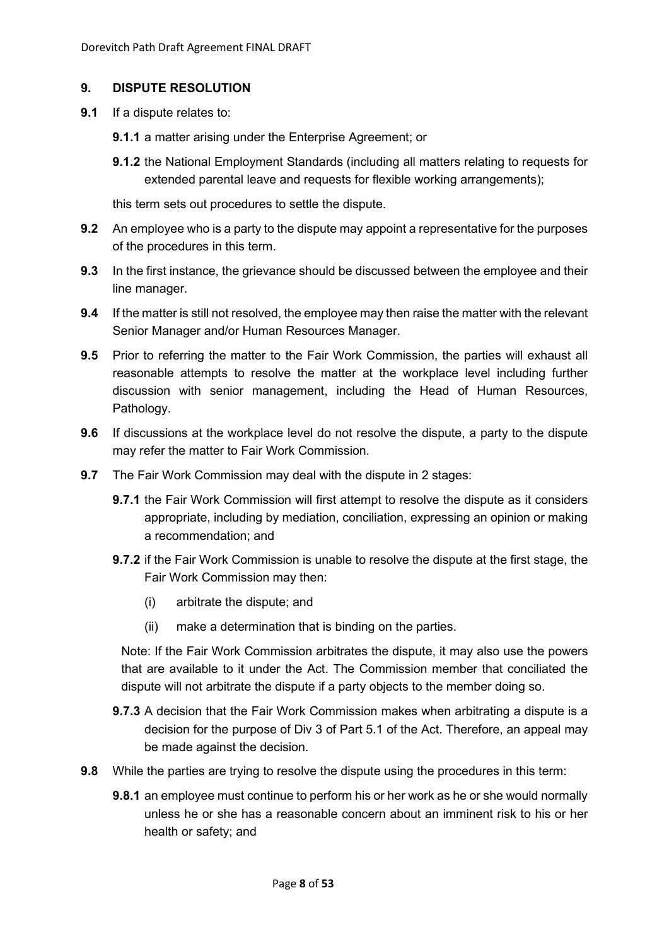## <span id="page-7-0"></span>**9. DISPUTE RESOLUTION**

- **9.1** If a dispute relates to:
	- **9.1.1** a matter arising under the Enterprise Agreement; or
	- **9.1.2** the National Employment Standards (including all matters relating to requests for extended parental leave and requests for flexible working arrangements);

this term sets out procedures to settle the dispute.

- **9.2** An employee who is a party to the dispute may appoint a representative for the purposes of the procedures in this term.
- **9.3** In the first instance, the grievance should be discussed between the employee and their line manager.
- **9.4** If the matter is still not resolved, the employee may then raise the matter with the relevant Senior Manager and/or Human Resources Manager.
- **9.5** Prior to referring the matter to the Fair Work Commission, the parties will exhaust all reasonable attempts to resolve the matter at the workplace level including further discussion with senior management, including the Head of Human Resources, Pathology.
- **9.6** If discussions at the workplace level do not resolve the dispute, a party to the dispute may refer the matter to Fair Work Commission.
- **9.7** The Fair Work Commission may deal with the dispute in 2 stages:
	- **9.7.1** the Fair Work Commission will first attempt to resolve the dispute as it considers appropriate, including by mediation, conciliation, expressing an opinion or making a recommendation; and
	- **9.7.2** if the Fair Work Commission is unable to resolve the dispute at the first stage, the Fair Work Commission may then:
		- (i) arbitrate the dispute; and
		- (ii) make a determination that is binding on the parties.

Note: If the Fair Work Commission arbitrates the dispute, it may also use the powers that are available to it under the Act. The Commission member that conciliated the dispute will not arbitrate the dispute if a party objects to the member doing so.

- **9.7.3** A decision that the Fair Work Commission makes when arbitrating a dispute is a decision for the purpose of Div 3 of Part 5.1 of the Act. Therefore, an appeal may be made against the decision.
- **9.8** While the parties are trying to resolve the dispute using the procedures in this term:
	- **9.8.1** an employee must continue to perform his or her work as he or she would normally unless he or she has a reasonable concern about an imminent risk to his or her health or safety; and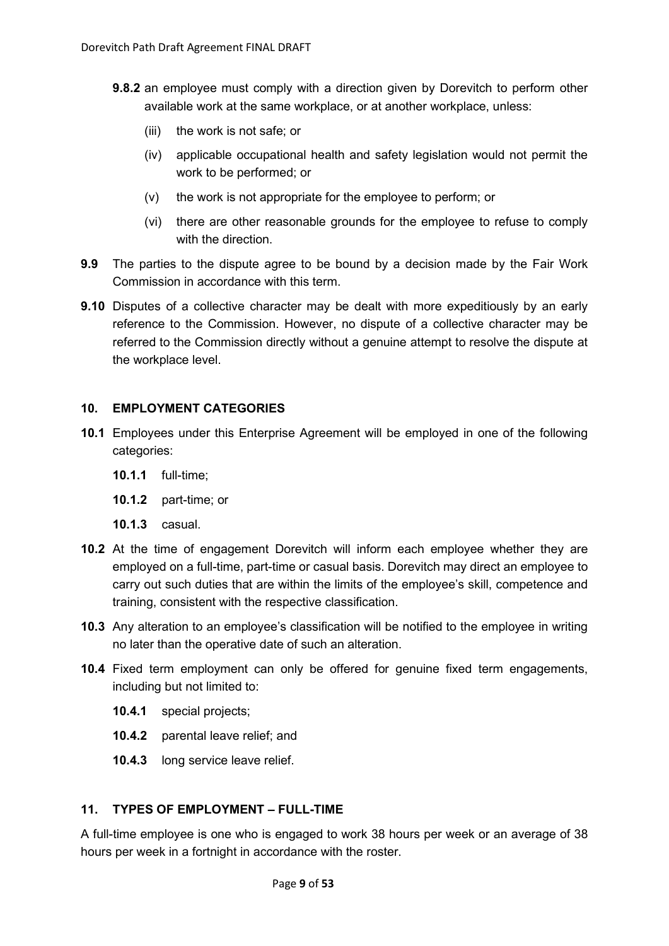- **9.8.2** an employee must comply with a direction given by Dorevitch to perform other available work at the same workplace, or at another workplace, unless:
	- (iii) the work is not safe; or
	- (iv) applicable occupational health and safety legislation would not permit the work to be performed; or
	- (v) the work is not appropriate for the employee to perform; or
	- (vi) there are other reasonable grounds for the employee to refuse to comply with the direction.
- **9.9** The parties to the dispute agree to be bound by a decision made by the Fair Work Commission in accordance with this term.
- **9.10** Disputes of a collective character may be dealt with more expeditiously by an early reference to the Commission. However, no dispute of a collective character may be referred to the Commission directly without a genuine attempt to resolve the dispute at the workplace level.

## <span id="page-8-0"></span>**10. EMPLOYMENT CATEGORIES**

- **10.1** Employees under this Enterprise Agreement will be employed in one of the following categories:
	- **10.1.1** full-time;
	- **10.1.2** part-time; or
	- **10.1.3** casual.
- **10.2** At the time of engagement Dorevitch will inform each employee whether they are employed on a full-time, part-time or casual basis. Dorevitch may direct an employee to carry out such duties that are within the limits of the employee's skill, competence and training, consistent with the respective classification.
- **10.3** Any alteration to an employee's classification will be notified to the employee in writing no later than the operative date of such an alteration.
- **10.4** Fixed term employment can only be offered for genuine fixed term engagements, including but not limited to:
	- **10.4.1** special projects;
	- **10.4.2** parental leave relief; and
	- **10.4.3** long service leave relief.

# <span id="page-8-1"></span>**11. TYPES OF EMPLOYMENT – FULL-TIME**

A full-time employee is one who is engaged to work 38 hours per week or an average of 38 hours per week in a fortnight in accordance with the roster.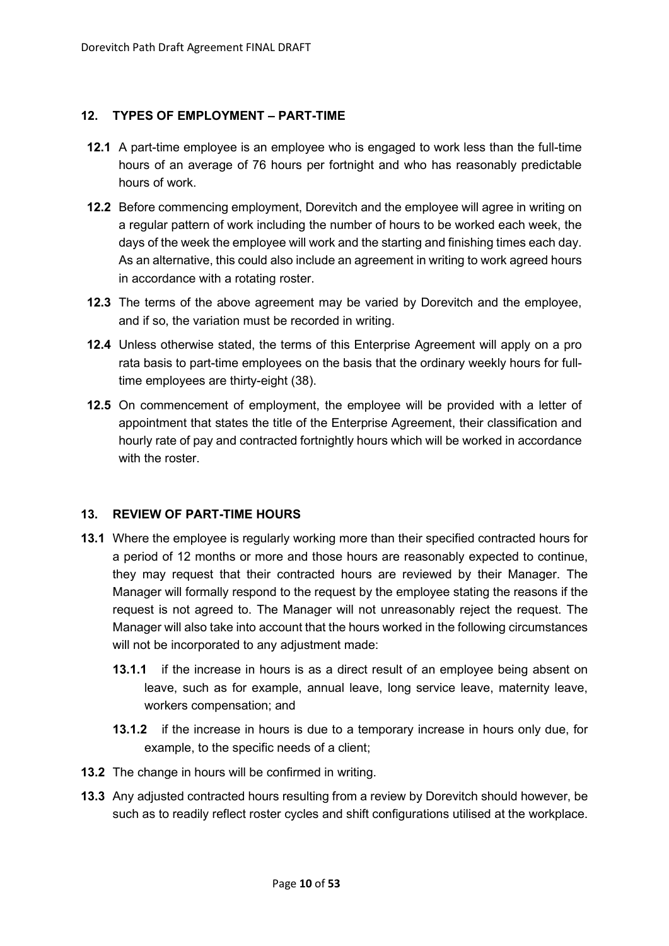## <span id="page-9-0"></span>**12. TYPES OF EMPLOYMENT – PART-TIME**

- **12.1** A part-time employee is an employee who is engaged to work less than the full-time hours of an average of 76 hours per fortnight and who has reasonably predictable hours of work.
- **12.2** Before commencing employment, Dorevitch and the employee will agree in writing on a regular pattern of work including the number of hours to be worked each week, the days of the week the employee will work and the starting and finishing times each day. As an alternative, this could also include an agreement in writing to work agreed hours in accordance with a rotating roster.
- **12.3** The terms of the above agreement may be varied by Dorevitch and the employee, and if so, the variation must be recorded in writing.
- **12.4** Unless otherwise stated, the terms of this Enterprise Agreement will apply on a pro rata basis to part-time employees on the basis that the ordinary weekly hours for fulltime employees are thirty-eight (38).
- **12.5** On commencement of employment, the employee will be provided with a letter of appointment that states the title of the Enterprise Agreement, their classification and hourly rate of pay and contracted fortnightly hours which will be worked in accordance with the roster.

# <span id="page-9-1"></span>**13. REVIEW OF PART-TIME HOURS**

- **13.1** Where the employee is regularly working more than their specified contracted hours for a period of 12 months or more and those hours are reasonably expected to continue, they may request that their contracted hours are reviewed by their Manager. The Manager will formally respond to the request by the employee stating the reasons if the request is not agreed to. The Manager will not unreasonably reject the request. The Manager will also take into account that the hours worked in the following circumstances will not be incorporated to any adjustment made:
	- **13.1.1** if the increase in hours is as a direct result of an employee being absent on leave, such as for example, annual leave, long service leave, maternity leave, workers compensation; and
	- **13.1.2** if the increase in hours is due to a temporary increase in hours only due, for example, to the specific needs of a client;
- **13.2** The change in hours will be confirmed in writing.
- **13.3** Any adjusted contracted hours resulting from a review by Dorevitch should however, be such as to readily reflect roster cycles and shift configurations utilised at the workplace.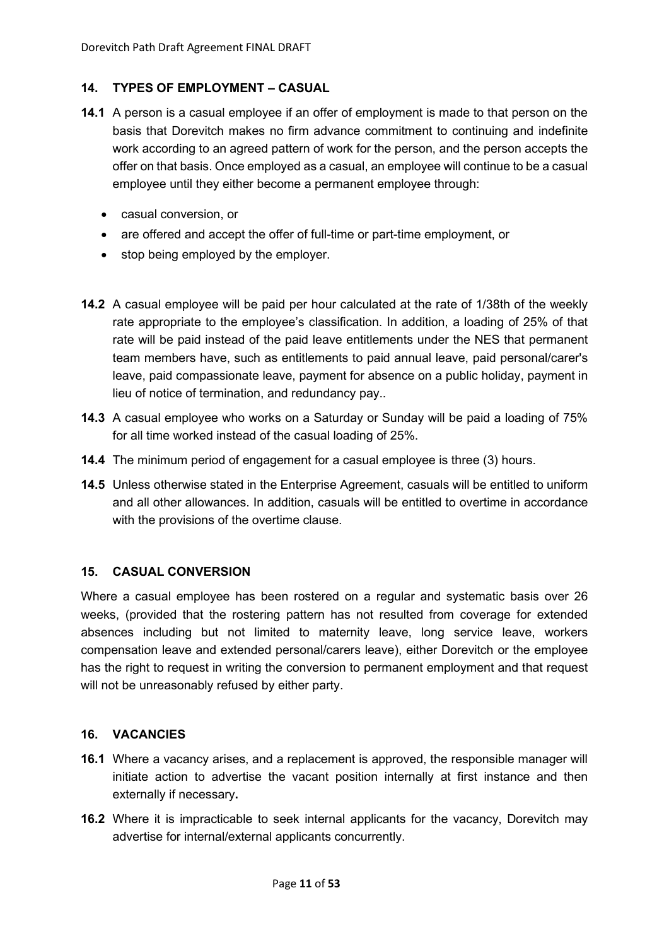## <span id="page-10-0"></span>**14. TYPES OF EMPLOYMENT – CASUAL**

- **14.1** A person is a casual employee if an offer of employment is made to that person on the basis that Dorevitch makes no firm advance commitment to continuing and indefinite work according to an agreed pattern of work for the person, and the person accepts the offer on that basis. Once employed as a casual, an employee will continue to be a casual employee until they either become a permanent employee through:
	- casual conversion, or
	- are offered and accept the offer of full-time or part-time employment, or
	- stop being employed by the employer.
- **14.2** A casual employee will be paid per hour calculated at the rate of 1/38th of the weekly rate appropriate to the employee's classification. In addition, a loading of 25% of that rate will be paid instead of the paid leave entitlements under the NES that permanent team members have, such as entitlements to paid annual leave, paid personal/carer's leave, paid compassionate leave, payment for absence on a public holiday, payment in lieu of notice of termination, and redundancy pay..
- **14.3** A casual employee who works on a Saturday or Sunday will be paid a loading of 75% for all time worked instead of the casual loading of 25%.
- **14.4** The minimum period of engagement for a casual employee is three (3) hours.
- **14.5** Unless otherwise stated in the Enterprise Agreement, casuals will be entitled to uniform and all other allowances. In addition, casuals will be entitled to overtime in accordance with the provisions of the overtime clause.

#### <span id="page-10-1"></span>**15. CASUAL CONVERSION**

Where a casual employee has been rostered on a regular and systematic basis over 26 weeks, (provided that the rostering pattern has not resulted from coverage for extended absences including but not limited to maternity leave, long service leave, workers compensation leave and extended personal/carers leave), either Dorevitch or the employee has the right to request in writing the conversion to permanent employment and that request will not be unreasonably refused by either party.

#### <span id="page-10-2"></span>**16. VACANCIES**

- **16.1** Where a vacancy arises, and a replacement is approved, the responsible manager will initiate action to advertise the vacant position internally at first instance and then externally if necessary**.**
- **16.2** Where it is impracticable to seek internal applicants for the vacancy, Dorevitch may advertise for internal/external applicants concurrently.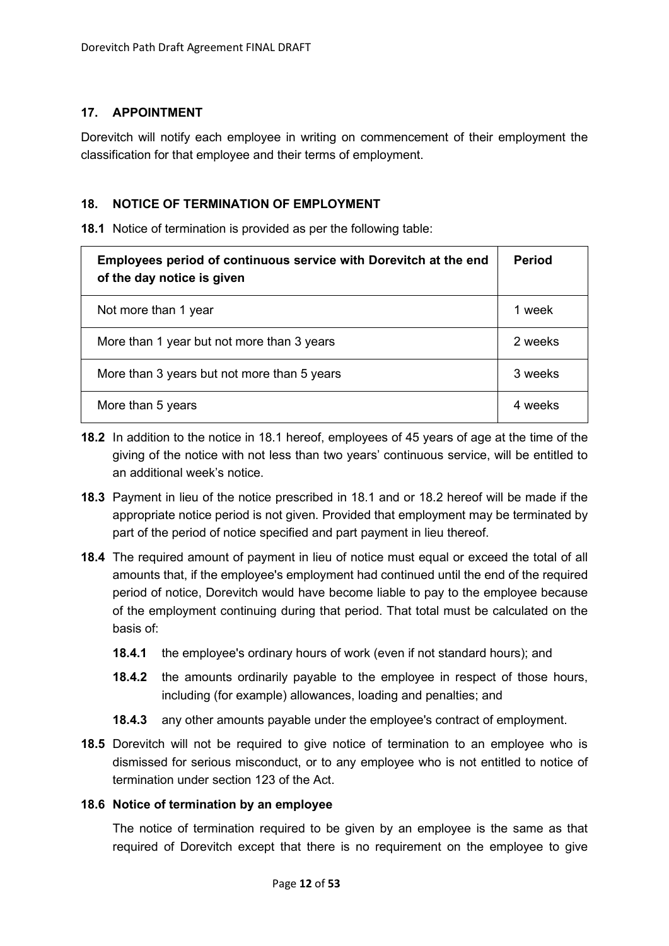## <span id="page-11-0"></span>**17. APPOINTMENT**

Dorevitch will notify each employee in writing on commencement of their employment the classification for that employee and their terms of employment.

## <span id="page-11-1"></span>**18. NOTICE OF TERMINATION OF EMPLOYMENT**

<span id="page-11-2"></span>**18.1** Notice of termination is provided as per the following table:

| Employees period of continuous service with Dorevitch at the end<br>of the day notice is given | Period  |
|------------------------------------------------------------------------------------------------|---------|
| Not more than 1 year                                                                           | 1 week  |
| More than 1 year but not more than 3 years                                                     | 2 weeks |
| More than 3 years but not more than 5 years                                                    | 3 weeks |
| More than 5 years                                                                              | 4 weeks |

- <span id="page-11-3"></span>**18.2** In addition to the notice in [18.1](#page-11-2) hereof, employees of 45 years of age at the time of the giving of the notice with not less than two years' continuous service, will be entitled to an additional week's notice.
- **18.3** Payment in lieu of the notice prescribed in [18.1](#page-11-2) and or [18.2](#page-11-3) hereof will be made if the appropriate notice period is not given. Provided that employment may be terminated by part of the period of notice specified and part payment in lieu thereof.
- **18.4** The required amount of payment in lieu of notice must equal or exceed the total of all amounts that, if the employee's employment had continued until the end of the required period of notice, Dorevitch would have become liable to pay to the employee because of the employment continuing during that period. That total must be calculated on the basis of:
	- **18.4.1** the employee's ordinary hours of work (even if not standard hours); and
	- **18.4.2** the amounts ordinarily payable to the employee in respect of those hours, including (for example) allowances, loading and penalties; and
	- **18.4.3** any other amounts payable under the employee's contract of employment.
- **18.5** Dorevitch will not be required to give notice of termination to an employee who is dismissed for serious misconduct, or to any employee who is not entitled to notice of termination under section 123 of the Act.

#### **18.6 Notice of termination by an employee**

The notice of termination required to be given by an employee is the same as that required of Dorevitch except that there is no requirement on the employee to give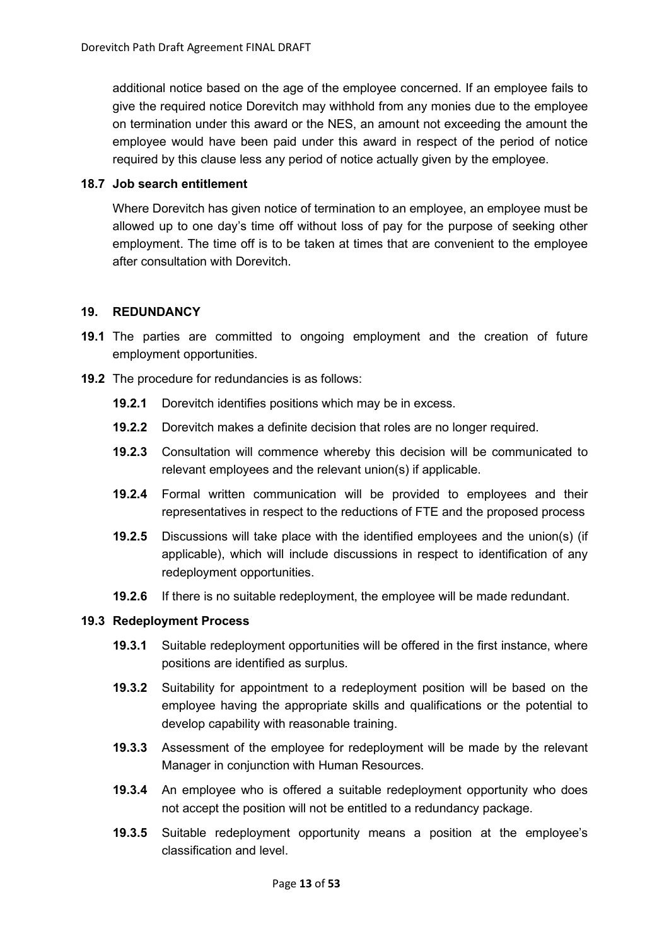additional notice based on the age of the employee concerned. If an employee fails to give the required notice Dorevitch may withhold from any monies due to the employee on termination under this award or the NES, an amount not exceeding the amount the employee would have been paid under this award in respect of the period of notice required by this clause less any period of notice actually given by the employee.

#### <span id="page-12-1"></span>**18.7 Job search entitlement**

Where Dorevitch has given notice of termination to an employee, an employee must be allowed up to one day's time off without loss of pay for the purpose of seeking other employment. The time off is to be taken at times that are convenient to the employee after consultation with Dorevitch.

## <span id="page-12-0"></span>**19. REDUNDANCY**

- **19.1** The parties are committed to ongoing employment and the creation of future employment opportunities.
- **19.2** The procedure for redundancies is as follows:
	- **19.2.1** Dorevitch identifies positions which may be in excess.
	- **19.2.2** Dorevitch makes a definite decision that roles are no longer required.
	- **19.2.3** Consultation will commence whereby this decision will be communicated to relevant employees and the relevant union(s) if applicable.
	- **19.2.4** Formal written communication will be provided to employees and their representatives in respect to the reductions of FTE and the proposed process
	- **19.2.5** Discussions will take place with the identified employees and the union(s) (if applicable), which will include discussions in respect to identification of any redeployment opportunities.
	- **19.2.6** If there is no suitable redeployment, the employee will be made redundant.

#### **19.3 Redeployment Process**

- **19.3.1** Suitable redeployment opportunities will be offered in the first instance, where positions are identified as surplus.
- **19.3.2** Suitability for appointment to a redeployment position will be based on the employee having the appropriate skills and qualifications or the potential to develop capability with reasonable training.
- **19.3.3** Assessment of the employee for redeployment will be made by the relevant Manager in conjunction with Human Resources.
- **19.3.4** An employee who is offered a suitable redeployment opportunity who does not accept the position will not be entitled to a redundancy package.
- **19.3.5** Suitable redeployment opportunity means a position at the employee's classification and level.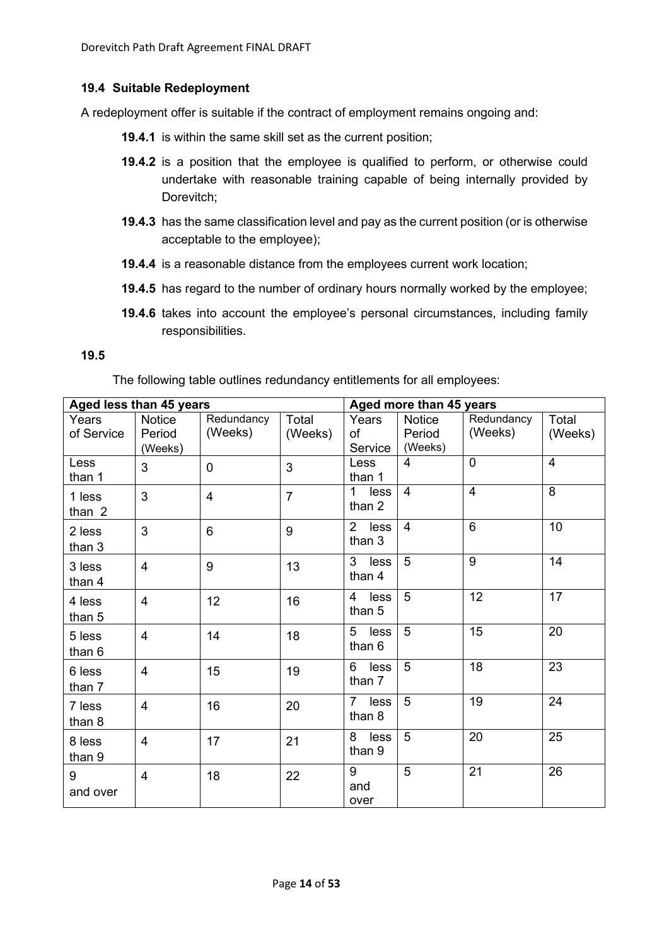## **19.4 Suitable Redeployment**

A redeployment offer is suitable if the contract of employment remains ongoing and:

- **19.4.1** is within the same skill set as the current position;
- **19.4.2** is a position that the employee is qualified to perform, or otherwise could undertake with reasonable training capable of being internally provided by Dorevitch;
- **19.4.3** has the same classification level and pay as the current position (or is otherwise acceptable to the employee);
- **19.4.4** is a reasonable distance from the employees current work location;
- **19.4.5** has regard to the number of ordinary hours normally worked by the employee;
- **19.4.6** takes into account the employee's personal circumstances, including family responsibilities.

#### **19.5**

The following table outlines redundancy entitlements for all employees:

| Aged less than 45 years |                |                | Aged more than 45 years |                                  |                |                |                |
|-------------------------|----------------|----------------|-------------------------|----------------------------------|----------------|----------------|----------------|
| Years                   | <b>Notice</b>  | Redundancy     | Total                   | Years                            | <b>Notice</b>  | Redundancy     | Total          |
| of Service              | Period         | (Weeks)        | (Weeks)                 | of                               | Period         | (Weeks)        | (Weeks)        |
|                         | (Weeks)        |                |                         | Service                          | (Weeks)        |                |                |
| Less<br>than 1          | 3              | $\overline{0}$ | 3                       | Less<br>than 1                   | 4              | $\overline{0}$ | $\overline{4}$ |
| 1 less<br>than 2        | 3              | $\overline{4}$ | $\overline{7}$          | 1.<br>less<br>than 2             | $\overline{4}$ | $\overline{4}$ | 8              |
| 2 less<br>than 3        | 3              | 6              | 9                       | $\overline{2}$<br>less<br>than 3 | $\overline{4}$ | $6\phantom{1}$ | 10             |
| 3 less<br>than 4        | $\overline{4}$ | 9              | 13                      | 3<br>less<br>than 4              | 5              | 9              | 14             |
| 4 less<br>than 5        | $\overline{4}$ | 12             | 16                      | 4<br>less<br>than 5              | 5              | 12             | 17             |
| 5 less<br>than 6        | $\overline{4}$ | 14             | 18                      | 5<br>less<br>than 6              | 5              | 15             | 20             |
| 6 less<br>than 7        | $\overline{4}$ | 15             | 19                      | 6<br>less<br>than 7              | 5              | 18             | 23             |
| 7 less<br>than 8        | $\overline{4}$ | 16             | 20                      | $\overline{7}$<br>less<br>than 8 | 5              | 19             | 24             |
| 8 less<br>than 9        | $\overline{4}$ | 17             | 21                      | 8<br>less<br>than 9              | 5              | 20             | 25             |
| 9<br>and over           | $\overline{4}$ | 18             | 22                      | 9<br>and<br>over                 | $\overline{5}$ | 21             | 26             |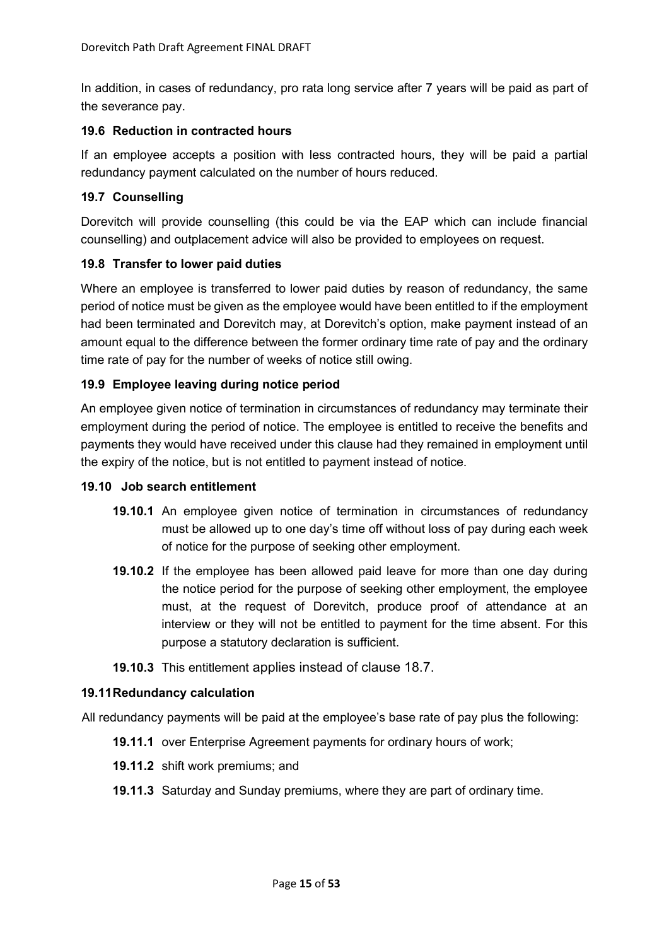In addition, in cases of redundancy, pro rata long service after 7 years will be paid as part of the severance pay.

## **19.6 Reduction in contracted hours**

If an employee accepts a position with less contracted hours, they will be paid a partial redundancy payment calculated on the number of hours reduced.

## **19.7 Counselling**

Dorevitch will provide counselling (this could be via the EAP which can include financial counselling) and outplacement advice will also be provided to employees on request.

## **19.8 Transfer to lower paid duties**

Where an employee is transferred to lower paid duties by reason of redundancy, the same period of notice must be given as the employee would have been entitled to if the employment had been terminated and Dorevitch may, at Dorevitch's option, make payment instead of an amount equal to the difference between the former ordinary time rate of pay and the ordinary time rate of pay for the number of weeks of notice still owing.

## **19.9 Employee leaving during notice period**

An employee given notice of termination in circumstances of redundancy may terminate their employment during the period of notice. The employee is entitled to receive the benefits and payments they would have received under this clause had they remained in employment until the expiry of the notice, but is not entitled to payment instead of notice.

#### **19.10 Job search entitlement**

- **19.10.1** An employee given notice of termination in circumstances of redundancy must be allowed up to one day's time off without loss of pay during each week of notice for the purpose of seeking other employment.
- **19.10.2** If the employee has been allowed paid leave for more than one day during the notice period for the purpose of seeking other employment, the employee must, at the request of Dorevitch, produce proof of attendance at an interview or they will not be entitled to payment for the time absent. For this purpose a statutory declaration is sufficient.
- **19.10.3** This entitlement applies instead of clause [18.7.](#page-12-1)

#### **19.11Redundancy calculation**

All redundancy payments will be paid at the employee's base rate of pay plus the following:

- **19.11.1** over Enterprise Agreement payments for ordinary hours of work;
- **19.11.2** shift work premiums; and
- **19.11.3** Saturday and Sunday premiums, where they are part of ordinary time.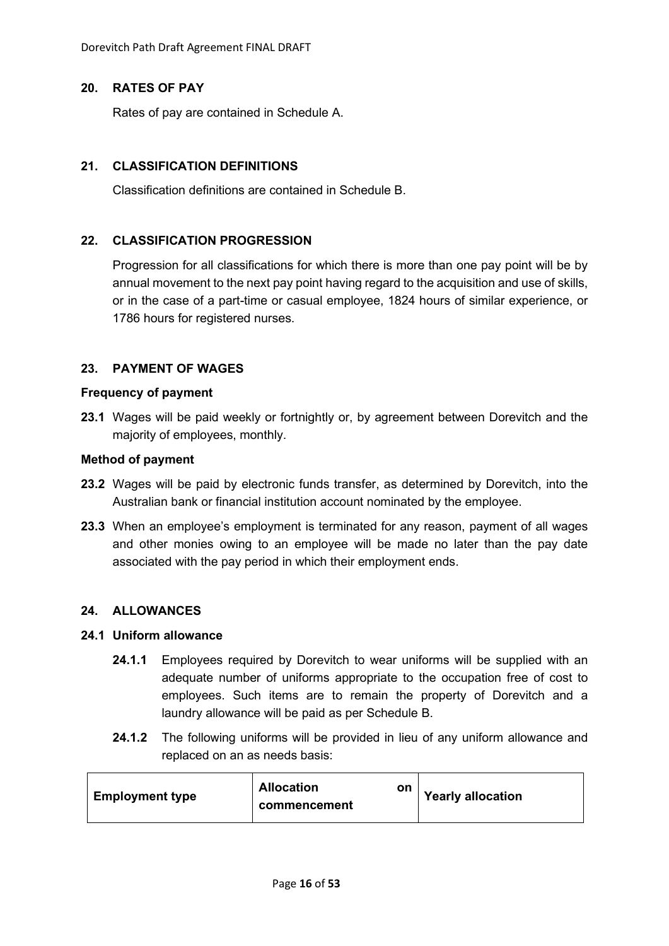Dorevitch Path Draft Agreement FINAL DRAFT

## <span id="page-15-0"></span>**20. RATES OF PAY**

Rates of pay are contained in Schedule A.

## <span id="page-15-1"></span>**21. CLASSIFICATION DEFINITIONS**

Classification definitions are contained in Schedule B.

## <span id="page-15-2"></span>**22. CLASSIFICATION PROGRESSION**

Progression for all classifications for which there is more than one pay point will be by annual movement to the next pay point having regard to the acquisition and use of skills, or in the case of a part-time or casual employee, 1824 hours of similar experience, or 1786 hours for registered nurses.

## <span id="page-15-3"></span>**23. PAYMENT OF WAGES**

#### **Frequency of payment**

**23.1** Wages will be paid weekly or fortnightly or, by agreement between Dorevitch and the majority of employees, monthly.

#### **Method of payment**

- **23.2** Wages will be paid by electronic funds transfer, as determined by Dorevitch, into the Australian bank or financial institution account nominated by the employee.
- **23.3** When an employee's employment is terminated for any reason, payment of all wages and other monies owing to an employee will be made no later than the pay date associated with the pay period in which their employment ends.

#### <span id="page-15-4"></span>**24. ALLOWANCES**

## **24.1 Uniform allowance**

- **24.1.1** Employees required by Dorevitch to wear uniforms will be supplied with an adequate number of uniforms appropriate to the occupation free of cost to employees. Such items are to remain the property of Dorevitch and a laundry allowance will be paid as per Schedule B.
- **24.1.2** The following uniforms will be provided in lieu of any uniform allowance and replaced on an as needs basis:

| <b>Employment type</b> | <b>Allocation</b><br>on<br>commencement | <b>Yearly allocation</b> |
|------------------------|-----------------------------------------|--------------------------|
|------------------------|-----------------------------------------|--------------------------|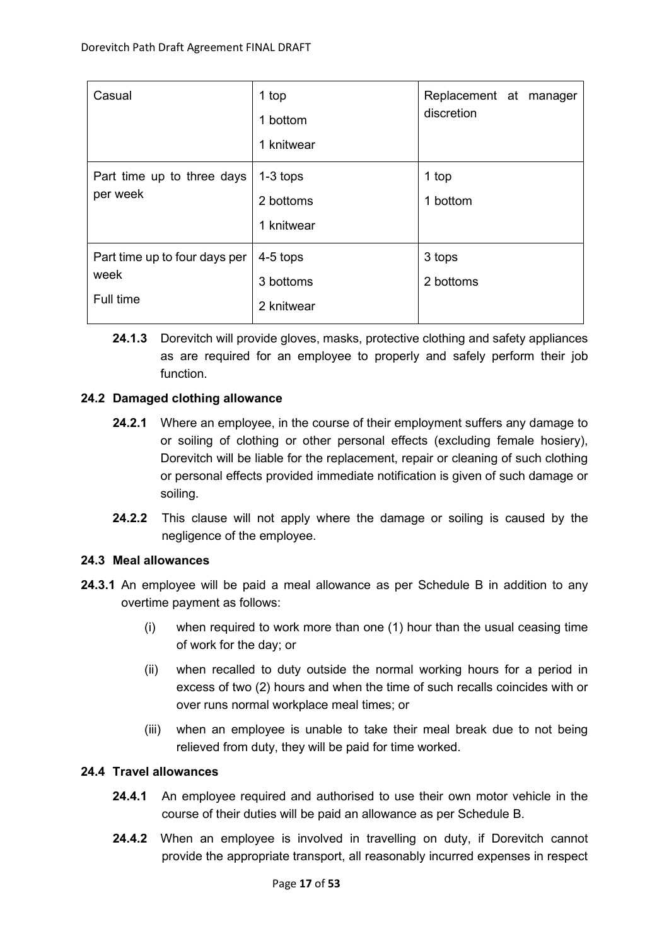| Casual                                             | 1 top<br>1 bottom<br>1 knitwear       | Replacement at manager<br>discretion |
|----------------------------------------------------|---------------------------------------|--------------------------------------|
| Part time up to three days<br>per week             | $1-3$ tops<br>2 bottoms<br>1 knitwear | 1 top<br>1 bottom                    |
| Part time up to four days per<br>week<br>Full time | 4-5 tops<br>3 bottoms<br>2 knitwear   | 3 tops<br>2 bottoms                  |

**24.1.3** Dorevitch will provide gloves, masks, protective clothing and safety appliances as are required for an employee to properly and safely perform their job function.

# **24.2 Damaged clothing allowance**

- **24.2.1** Where an employee, in the course of their employment suffers any damage to or soiling of clothing or other personal effects (excluding female hosiery), Dorevitch will be liable for the replacement, repair or cleaning of such clothing or personal effects provided immediate notification is given of such damage or soiling.
- **24.2.2** This clause will not apply where the damage or soiling is caused by the negligence of the employee.

# **24.3 Meal allowances**

- **24.3.1** An employee will be paid a meal allowance as per Schedule B in addition to any overtime payment as follows:
	- (i) when required to work more than one (1) hour than the usual ceasing time of work for the day; or
	- (ii) when recalled to duty outside the normal working hours for a period in excess of two (2) hours and when the time of such recalls coincides with or over runs normal workplace meal times; or
	- (iii) when an employee is unable to take their meal break due to not being relieved from duty, they will be paid for time worked.

# **24.4 Travel allowances**

- **24.4.1** An employee required and authorised to use their own motor vehicle in the course of their duties will be paid an allowance as per Schedule B.
- <span id="page-16-0"></span>**24.4.2** When an employee is involved in travelling on duty, if Dorevitch cannot provide the appropriate transport, all reasonably incurred expenses in respect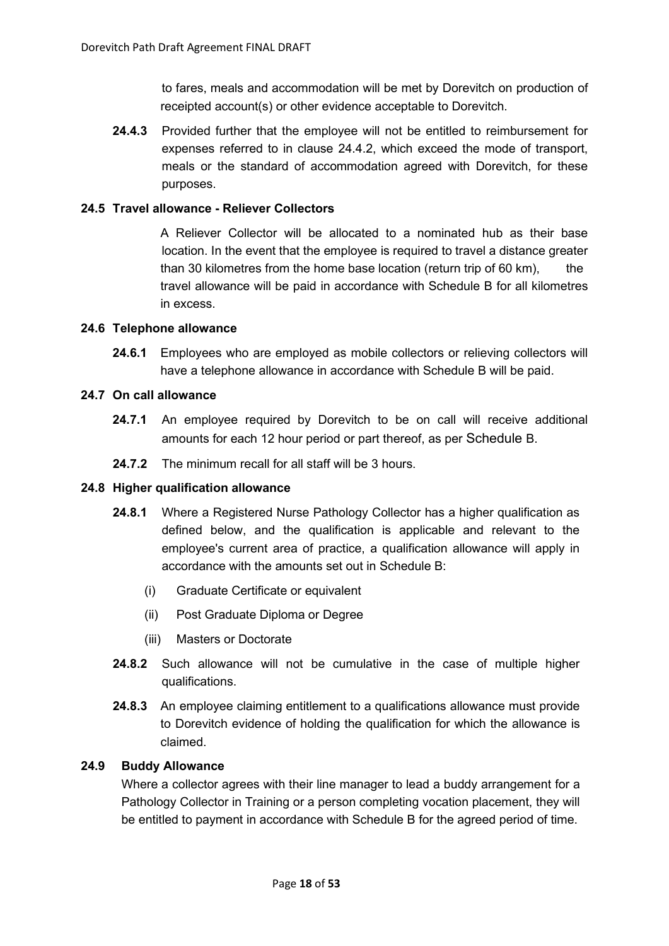to fares, meals and accommodation will be met by Dorevitch on production of receipted account(s) or other evidence acceptable to Dorevitch.

**24.4.3** Provided further that the employee will not be entitled to reimbursement for expenses referred to in clause [24.4.2,](#page-16-0) which exceed the mode of transport, meals or the standard of accommodation agreed with Dorevitch, for these purposes.

## **24.5 Travel allowance - Reliever Collectors**

A Reliever Collector will be allocated to a nominated hub as their base location. In the event that the employee is required to travel a distance greater than 30 kilometres from the home base location (return trip of 60 km), the travel allowance will be paid in accordance with Schedule B for all kilometres in excess.

#### **24.6 Telephone allowance**

**24.6.1** Employees who are employed as mobile collectors or relieving collectors will have a telephone allowance in accordance with Schedule B will be paid.

#### **24.7 On call allowance**

- **24.7.1** An employee required by Dorevitch to be on call will receive additional amounts for each 12 hour period or part thereof, as per Schedule B.
- **24.7.2** The minimum recall for all staff will be 3 hours.

#### **24.8 Higher qualification allowance**

- **24.8.1** Where a Registered Nurse Pathology Collector has a higher qualification as defined below, and the qualification is applicable and relevant to the employee's current area of practice, a qualification allowance will apply in accordance with the amounts set out in Schedule B:
	- (i) Graduate Certificate or equivalent
	- (ii) Post Graduate Diploma or Degree
	- (iii) Masters or Doctorate
- **24.8.2** Such allowance will not be cumulative in the case of multiple higher qualifications.
- **24.8.3** An employee claiming entitlement to a qualifications allowance must provide to Dorevitch evidence of holding the qualification for which the allowance is claimed.

#### **24.9 Buddy Allowance**

Where a collector agrees with their line manager to lead a buddy arrangement for a Pathology Collector in Training or a person completing vocation placement, they will be entitled to payment in accordance with Schedule B for the agreed period of time.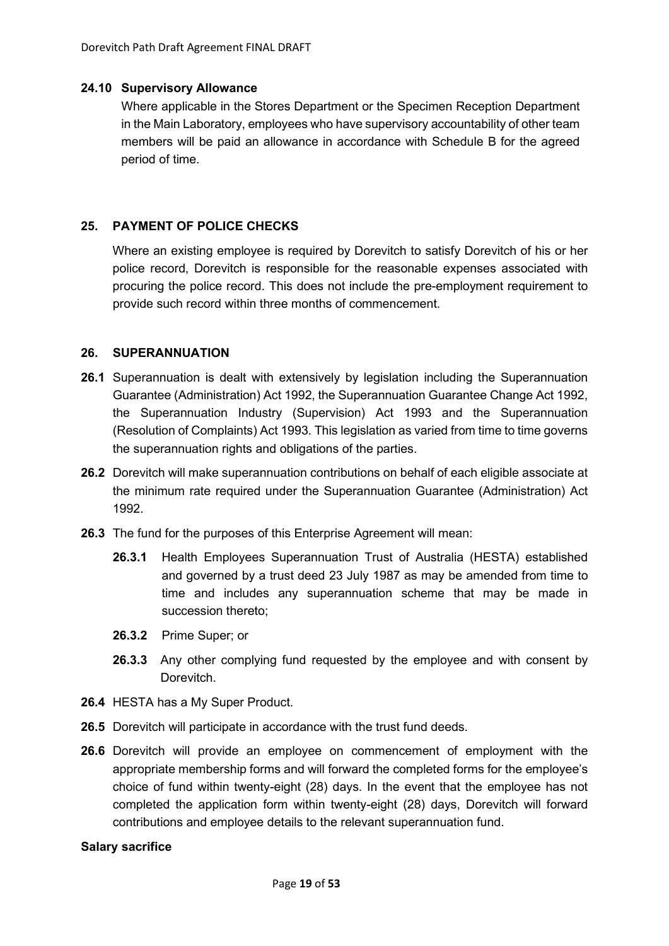### **24.10 Supervisory Allowance**

Where applicable in the Stores Department or the Specimen Reception Department in the Main Laboratory, employees who have supervisory accountability of other team members will be paid an allowance in accordance with Schedule B for the agreed period of time.

## <span id="page-18-0"></span>**25. PAYMENT OF POLICE CHECKS**

Where an existing employee is required by Dorevitch to satisfy Dorevitch of his or her police record, Dorevitch is responsible for the reasonable expenses associated with procuring the police record. This does not include the pre-employment requirement to provide such record within three months of commencement.

## <span id="page-18-1"></span>**26. SUPERANNUATION**

- **26.1** Superannuation is dealt with extensively by legislation including the Superannuation Guarantee (Administration) Act 1992, the Superannuation Guarantee Change Act 1992, the Superannuation Industry (Supervision) Act 1993 and the Superannuation (Resolution of Complaints) Act 1993. This legislation as varied from time to time governs the superannuation rights and obligations of the parties.
- **26.2** Dorevitch will make superannuation contributions on behalf of each eligible associate at the minimum rate required under the Superannuation Guarantee (Administration) Act 1992.
- **26.3** The fund for the purposes of this Enterprise Agreement will mean:
	- **26.3.1** Health Employees Superannuation Trust of Australia (HESTA) established and governed by a trust deed 23 July 1987 as may be amended from time to time and includes any superannuation scheme that may be made in succession thereto;
	- **26.3.2** Prime Super; or
	- **26.3.3** Any other complying fund requested by the employee and with consent by Dorevitch.
- **26.4** HESTA has a My Super Product.
- **26.5** Dorevitch will participate in accordance with the trust fund deeds.
- **26.6** Dorevitch will provide an employee on commencement of employment with the appropriate membership forms and will forward the completed forms for the employee's choice of fund within twenty-eight (28) days. In the event that the employee has not completed the application form within twenty-eight (28) days, Dorevitch will forward contributions and employee details to the relevant superannuation fund.

#### **Salary sacrifice**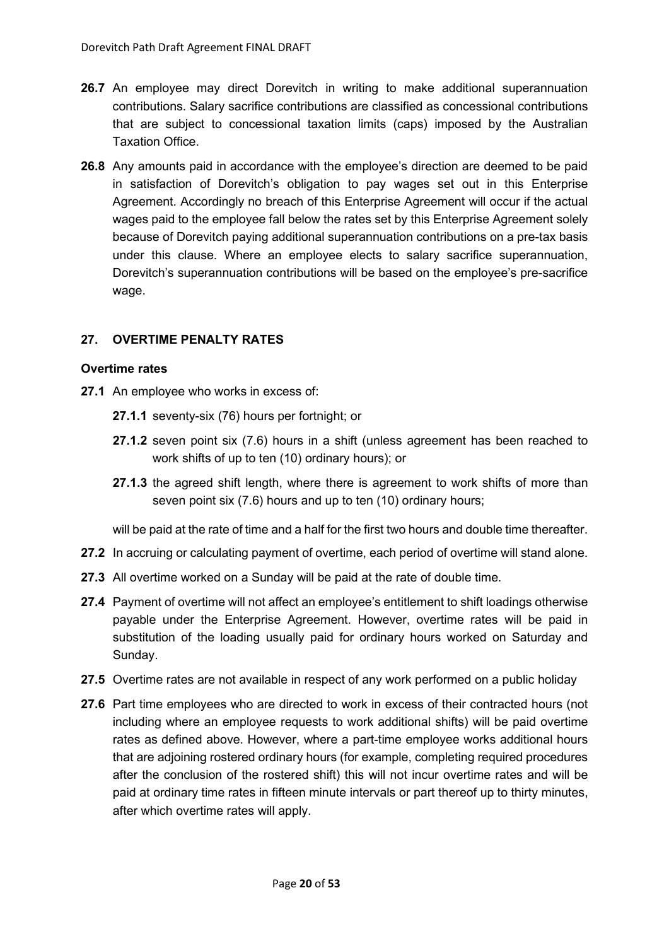- **26.7** An employee may direct Dorevitch in writing to make additional superannuation contributions. Salary sacrifice contributions are classified as concessional contributions that are subject to concessional taxation limits (caps) imposed by the Australian Taxation Office.
- **26.8** Any amounts paid in accordance with the employee's direction are deemed to be paid in satisfaction of Dorevitch's obligation to pay wages set out in this Enterprise Agreement. Accordingly no breach of this Enterprise Agreement will occur if the actual wages paid to the employee fall below the rates set by this Enterprise Agreement solely because of Dorevitch paying additional superannuation contributions on a pre-tax basis under this clause. Where an employee elects to salary sacrifice superannuation, Dorevitch's superannuation contributions will be based on the employee's pre-sacrifice wage.

# <span id="page-19-0"></span>**27. OVERTIME PENALTY RATES**

#### **Overtime rates**

- **27.1** An employee who works in excess of:
	- **27.1.1** seventy-six (76) hours per fortnight; or
	- **27.1.2** seven point six (7.6) hours in a shift (unless agreement has been reached to work shifts of up to ten (10) ordinary hours); or
	- **27.1.3** the agreed shift length, where there is agreement to work shifts of more than seven point six (7.6) hours and up to ten (10) ordinary hours;

will be paid at the rate of time and a half for the first two hours and double time thereafter.

- **27.2** In accruing or calculating payment of overtime, each period of overtime will stand alone.
- **27.3** All overtime worked on a Sunday will be paid at the rate of double time.
- **27.4** Payment of overtime will not affect an employee's entitlement to shift loadings otherwise payable under the Enterprise Agreement. However, overtime rates will be paid in substitution of the loading usually paid for ordinary hours worked on Saturday and Sunday.
- **27.5** Overtime rates are not available in respect of any work performed on a public holiday
- **27.6** Part time employees who are directed to work in excess of their contracted hours (not including where an employee requests to work additional shifts) will be paid overtime rates as defined above. However, where a part-time employee works additional hours that are adjoining rostered ordinary hours (for example, completing required procedures after the conclusion of the rostered shift) this will not incur overtime rates and will be paid at ordinary time rates in fifteen minute intervals or part thereof up to thirty minutes, after which overtime rates will apply.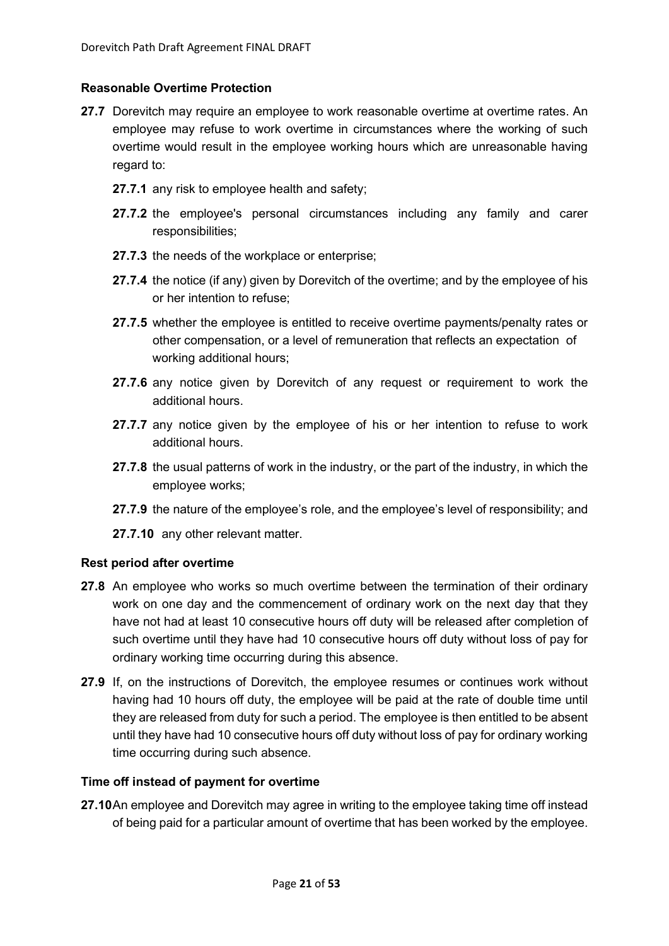## **Reasonable Overtime Protection**

- **27.7** Dorevitch may require an employee to work reasonable overtime at overtime rates. An employee may refuse to work overtime in circumstances where the working of such overtime would result in the employee working hours which are unreasonable having regard to:
	- **27.7.1** any risk to employee health and safety;
	- **27.7.2** the employee's personal circumstances including any family and carer responsibilities;
	- **27.7.3** the needs of the workplace or enterprise;
	- **27.7.4** the notice (if any) given by Dorevitch of the overtime; and by the employee of his or her intention to refuse;
	- **27.7.5** whether the employee is entitled to receive overtime payments/penalty rates or other compensation, or a level of remuneration that reflects an expectation of working additional hours;
	- **27.7.6** any notice given by Dorevitch of any request or requirement to work the additional hours.
	- **27.7.7** any notice given by the employee of his or her intention to refuse to work additional hours.
	- **27.7.8** the usual patterns of work in the industry, or the part of the industry, in which the employee works;
	- **27.7.9** the nature of the employee's role, and the employee's level of responsibility; and
	- **27.7.10** any other relevant matter.

#### **Rest period after overtime**

- **27.8** An employee who works so much overtime between the termination of their ordinary work on one day and the commencement of ordinary work on the next day that they have not had at least 10 consecutive hours off duty will be released after completion of such overtime until they have had 10 consecutive hours off duty without loss of pay for ordinary working time occurring during this absence.
- **27.9** If, on the instructions of Dorevitch, the employee resumes or continues work without having had 10 hours off duty, the employee will be paid at the rate of double time until they are released from duty for such a period. The employee is then entitled to be absent until they have had 10 consecutive hours off duty without loss of pay for ordinary working time occurring during such absence.

#### **Time off instead of payment for overtime**

**27.10**An employee and Dorevitch may agree in writing to the employee taking time off instead of being paid for a particular amount of overtime that has been worked by the employee.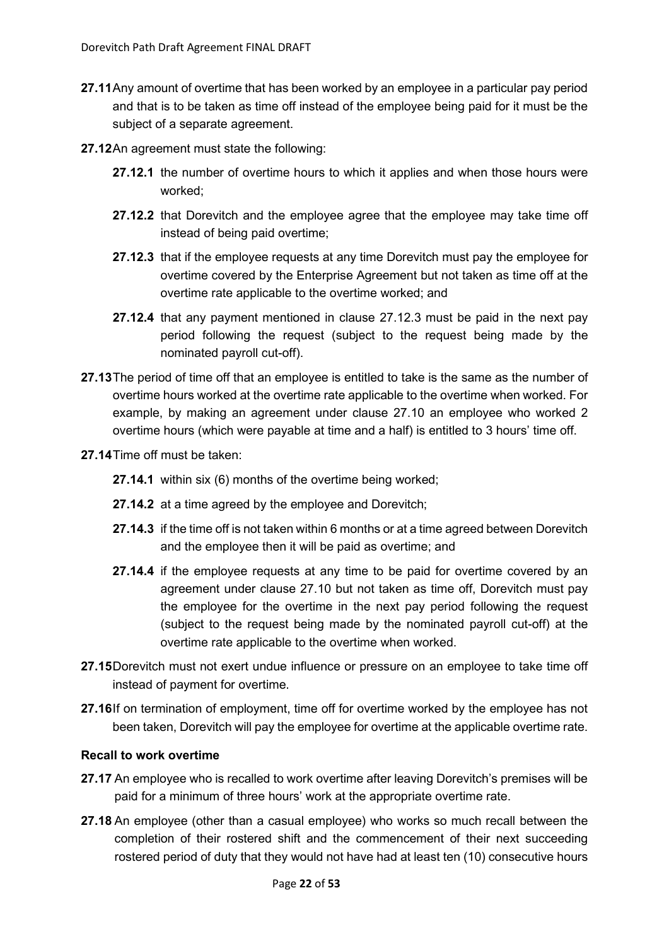- **27.11**Any amount of overtime that has been worked by an employee in a particular pay period and that is to be taken as time off instead of the employee being paid for it must be the subject of a separate agreement.
- **27.12**An agreement must state the following:
	- **27.12.1** the number of overtime hours to which it applies and when those hours were worked;
	- **27.12.2** that Dorevitch and the employee agree that the employee may take time off instead of being paid overtime;
	- **27.12.3** that if the employee requests at any time Dorevitch must pay the employee for overtime covered by the Enterprise Agreement but not taken as time off at the overtime rate applicable to the overtime worked; and
	- **27.12.4** that any payment mentioned in clause 27.12.3 must be paid in the next pay period following the request (subject to the request being made by the nominated payroll cut-off).
- **27.13**The period of time off that an employee is entitled to take is the same as the number of overtime hours worked at the overtime rate applicable to the overtime when worked. For example, by making an agreement under clause 27.10 an employee who worked 2 overtime hours (which were payable at time and a half) is entitled to 3 hours' time off.
- **27.14**Time off must be taken:
	- **27.14.1** within six (6) months of the overtime being worked;
	- **27.14.2** at a time agreed by the employee and Dorevitch;
	- **27.14.3** if the time off is not taken within 6 months or at a time agreed between Dorevitch and the employee then it will be paid as overtime; and
	- **27.14.4** if the employee requests at any time to be paid for overtime covered by an agreement under clause 27.10 but not taken as time off, Dorevitch must pay the employee for the overtime in the next pay period following the request (subject to the request being made by the nominated payroll cut-off) at the overtime rate applicable to the overtime when worked.
- **27.15**Dorevitch must not exert undue influence or pressure on an employee to take time off instead of payment for overtime.
- **27.16**If on termination of employment, time off for overtime worked by the employee has not been taken, Dorevitch will pay the employee for overtime at the applicable overtime rate.

## **Recall to work overtime**

- **27.17** An employee who is recalled to work overtime after leaving Dorevitch's premises will be paid for a minimum of three hours' work at the appropriate overtime rate.
- **27.18** An employee (other than a casual employee) who works so much recall between the completion of their rostered shift and the commencement of their next succeeding rostered period of duty that they would not have had at least ten (10) consecutive hours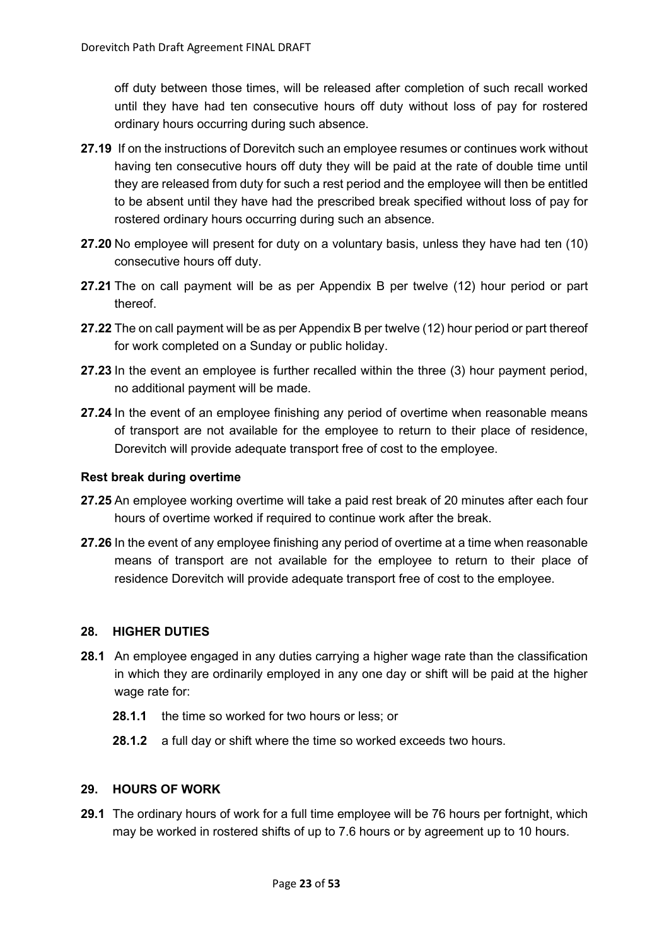off duty between those times, will be released after completion of such recall worked until they have had ten consecutive hours off duty without loss of pay for rostered ordinary hours occurring during such absence.

- **27.19** If on the instructions of Dorevitch such an employee resumes or continues work without having ten consecutive hours off duty they will be paid at the rate of double time until they are released from duty for such a rest period and the employee will then be entitled to be absent until they have had the prescribed break specified without loss of pay for rostered ordinary hours occurring during such an absence.
- **27.20** No employee will present for duty on a voluntary basis, unless they have had ten (10) consecutive hours off duty.
- **27.21** The on call payment will be as per Appendix B per twelve (12) hour period or part thereof.
- **27.22** The on call payment will be as per Appendix B per twelve (12) hour period or part thereof for work completed on a Sunday or public holiday.
- **27.23** In the event an employee is further recalled within the three (3) hour payment period, no additional payment will be made.
- **27.24** In the event of an employee finishing any period of overtime when reasonable means of transport are not available for the employee to return to their place of residence, Dorevitch will provide adequate transport free of cost to the employee.

## **Rest break during overtime**

- **27.25** An employee working overtime will take a paid rest break of 20 minutes after each four hours of overtime worked if required to continue work after the break.
- **27.26** In the event of any employee finishing any period of overtime at a time when reasonable means of transport are not available for the employee to return to their place of residence Dorevitch will provide adequate transport free of cost to the employee.

#### <span id="page-22-0"></span>**28. HIGHER DUTIES**

- **28.1** An employee engaged in any duties carrying a higher wage rate than the classification in which they are ordinarily employed in any one day or shift will be paid at the higher wage rate for:
	- **28.1.1** the time so worked for two hours or less; or
	- **28.1.2** a full day or shift where the time so worked exceeds two hours.

#### <span id="page-22-1"></span>**29. HOURS OF WORK**

**29.1** The ordinary hours of work for a full time employee will be 76 hours per fortnight, which may be worked in rostered shifts of up to 7.6 hours or by agreement up to 10 hours.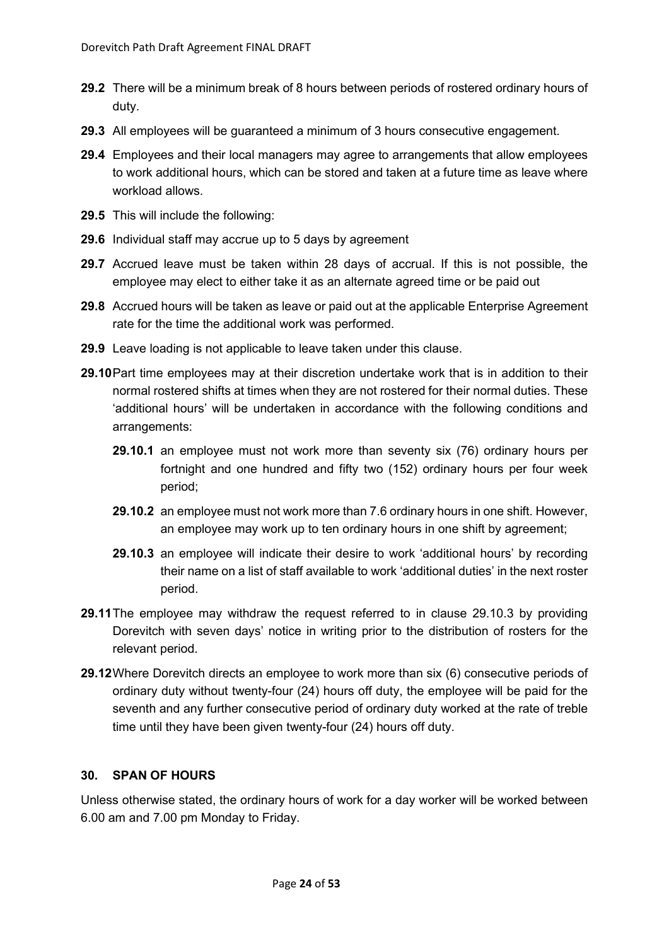- **29.2** There will be a minimum break of 8 hours between periods of rostered ordinary hours of duty.
- **29.3** All employees will be guaranteed a minimum of 3 hours consecutive engagement.
- **29.4** Employees and their local managers may agree to arrangements that allow employees to work additional hours, which can be stored and taken at a future time as leave where workload allows.
- **29.5** This will include the following:
- **29.6** Individual staff may accrue up to 5 days by agreement
- **29.7** Accrued leave must be taken within 28 days of accrual. If this is not possible, the employee may elect to either take it as an alternate agreed time or be paid out
- **29.8** Accrued hours will be taken as leave or paid out at the applicable Enterprise Agreement rate for the time the additional work was performed.
- **29.9** Leave loading is not applicable to leave taken under this clause.
- **29.10**Part time employees may at their discretion undertake work that is in addition to their normal rostered shifts at times when they are not rostered for their normal duties. These 'additional hours' will be undertaken in accordance with the following conditions and arrangements:
	- **29.10.1** an employee must not work more than seventy six (76) ordinary hours per fortnight and one hundred and fifty two (152) ordinary hours per four week period;
	- **29.10.2** an employee must not work more than 7.6 ordinary hours in one shift. However, an employee may work up to ten ordinary hours in one shift by agreement;
	- **29.10.3** an employee will indicate their desire to work 'additional hours' by recording their name on a list of staff available to work 'additional duties' in the next roster period.
- **29.11**The employee may withdraw the request referred to in clause 29.10.3 by providing Dorevitch with seven days' notice in writing prior to the distribution of rosters for the relevant period.
- **29.12**Where Dorevitch directs an employee to work more than six (6) consecutive periods of ordinary duty without twenty-four (24) hours off duty, the employee will be paid for the seventh and any further consecutive period of ordinary duty worked at the rate of treble time until they have been given twenty-four (24) hours off duty.

# <span id="page-23-0"></span>**30. SPAN OF HOURS**

Unless otherwise stated, the ordinary hours of work for a day worker will be worked between 6.00 am and 7.00 pm Monday to Friday.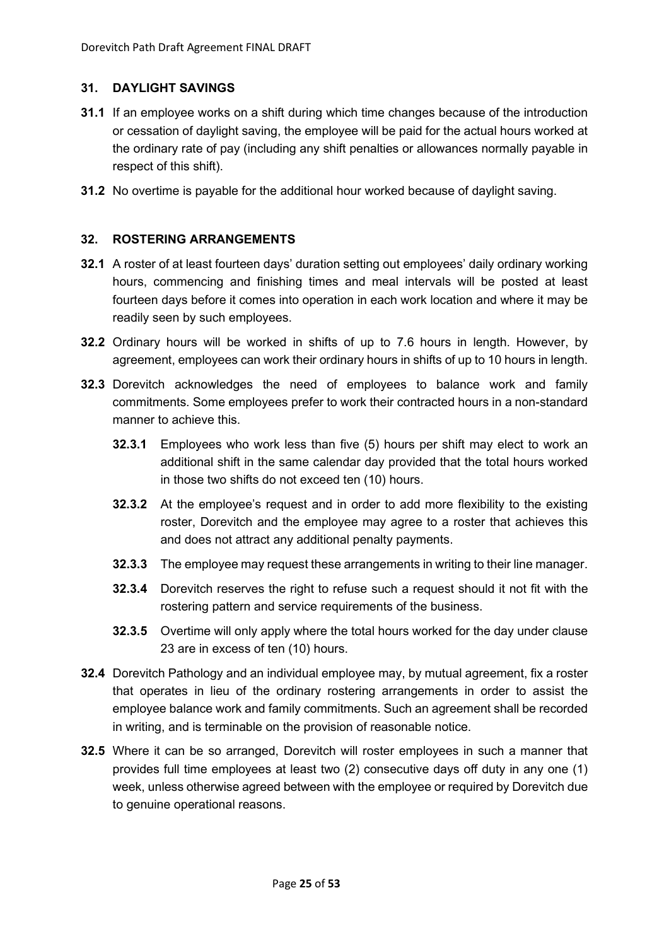## <span id="page-24-0"></span>**31. DAYLIGHT SAVINGS**

- **31.1** If an employee works on a shift during which time changes because of the introduction or cessation of daylight saving, the employee will be paid for the actual hours worked at the ordinary rate of pay (including any shift penalties or allowances normally payable in respect of this shift).
- **31.2** No overtime is payable for the additional hour worked because of daylight saving.

#### <span id="page-24-1"></span>**32. ROSTERING ARRANGEMENTS**

- **32.1** A roster of at least fourteen days' duration setting out employees' daily ordinary working hours, commencing and finishing times and meal intervals will be posted at least fourteen days before it comes into operation in each work location and where it may be readily seen by such employees.
- **32.2** Ordinary hours will be worked in shifts of up to 7.6 hours in length. However, by agreement, employees can work their ordinary hours in shifts of up to 10 hours in length.
- **32.3** Dorevitch acknowledges the need of employees to balance work and family commitments. Some employees prefer to work their contracted hours in a non-standard manner to achieve this.
	- **32.3.1** Employees who work less than five (5) hours per shift may elect to work an additional shift in the same calendar day provided that the total hours worked in those two shifts do not exceed ten (10) hours.
	- **32.3.2** At the employee's request and in order to add more flexibility to the existing roster, Dorevitch and the employee may agree to a roster that achieves this and does not attract any additional penalty payments.
	- **32.3.3** The employee may request these arrangements in writing to their line manager.
	- **32.3.4** Dorevitch reserves the right to refuse such a request should it not fit with the rostering pattern and service requirements of the business.
	- **32.3.5** Overtime will only apply where the total hours worked for the day under clause 23 are in excess of ten (10) hours.
- **32.4** Dorevitch Pathology and an individual employee may, by mutual agreement, fix a roster that operates in lieu of the ordinary rostering arrangements in order to assist the employee balance work and family commitments. Such an agreement shall be recorded in writing, and is terminable on the provision of reasonable notice.
- **32.5** Where it can be so arranged, Dorevitch will roster employees in such a manner that provides full time employees at least two (2) consecutive days off duty in any one (1) week, unless otherwise agreed between with the employee or required by Dorevitch due to genuine operational reasons.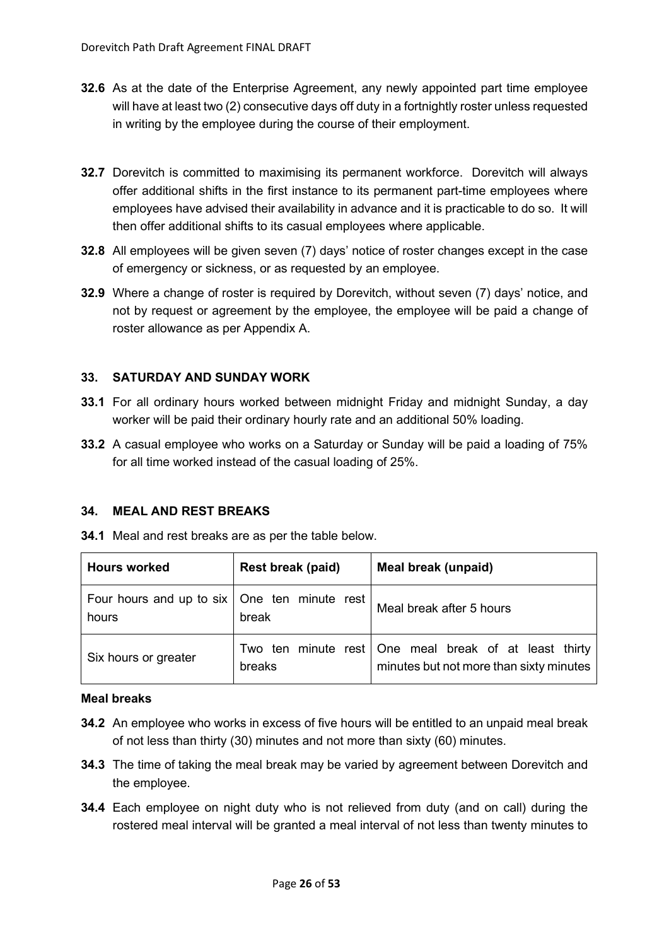- **32.6** As at the date of the Enterprise Agreement, any newly appointed part time employee will have at least two (2) consecutive days off duty in a fortnightly roster unless requested in writing by the employee during the course of their employment.
- **32.7** Dorevitch is committed to maximising its permanent workforce. Dorevitch will always offer additional shifts in the first instance to its permanent part-time employees where employees have advised their availability in advance and it is practicable to do so. It will then offer additional shifts to its casual employees where applicable.
- **32.8** All employees will be given seven (7) days' notice of roster changes except in the case of emergency or sickness, or as requested by an employee.
- **32.9** Where a change of roster is required by Dorevitch, without seven (7) days' notice, and not by request or agreement by the employee, the employee will be paid a change of roster allowance as per Appendix A.

# <span id="page-25-0"></span>**33. SATURDAY AND SUNDAY WORK**

- **33.1** For all ordinary hours worked between midnight Friday and midnight Sunday, a day worker will be paid their ordinary hourly rate and an additional 50% loading.
- **33.2** A casual employee who works on a Saturday or Sunday will be paid a loading of 75% for all time worked instead of the casual loading of 25%.

## <span id="page-25-1"></span>**34. MEAL AND REST BREAKS**

| <b>Hours worked</b>                                     | Meal break (unpaid) |                                                                                                    |
|---------------------------------------------------------|---------------------|----------------------------------------------------------------------------------------------------|
| Four hours and up to six   One ten minute rest<br>hours | break               | Meal break after 5 hours                                                                           |
| Six hours or greater                                    | breaks              | Two ten minute rest   One meal break of at least thirty<br>minutes but not more than sixty minutes |

**34.1** Meal and rest breaks are as per the table below.

#### **Meal breaks**

- **34.2** An employee who works in excess of five hours will be entitled to an unpaid meal break of not less than thirty (30) minutes and not more than sixty (60) minutes.
- **34.3** The time of taking the meal break may be varied by agreement between Dorevitch and the employee.
- **34.4** Each employee on night duty who is not relieved from duty (and on call) during the rostered meal interval will be granted a meal interval of not less than twenty minutes to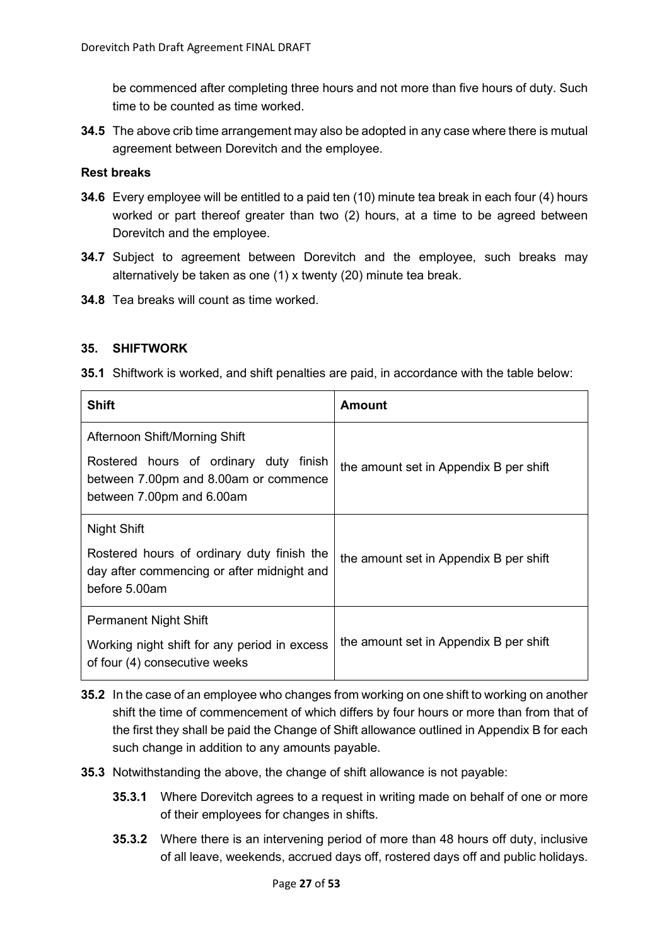be commenced after completing three hours and not more than five hours of duty. Such time to be counted as time worked.

**34.5** The above crib time arrangement may also be adopted in any case where there is mutual agreement between Dorevitch and the employee.

# **Rest breaks**

- **34.6** Every employee will be entitled to a paid ten (10) minute tea break in each four (4) hours worked or part thereof greater than two (2) hours, at a time to be agreed between Dorevitch and the employee.
- **34.7** Subject to agreement between Dorevitch and the employee, such breaks may alternatively be taken as one (1) x twenty (20) minute tea break.
- **34.8** Tea breaks will count as time worked.

## <span id="page-26-0"></span>**35. SHIFTWORK**

**35.1** Shiftwork is worked, and shift penalties are paid, in accordance with the table below:

| <b>Shift</b>                                                                                                 | Amount                                 |
|--------------------------------------------------------------------------------------------------------------|----------------------------------------|
| Afternoon Shift/Morning Shift                                                                                |                                        |
| Rostered hours of ordinary duty finish<br>between 7.00pm and 8.00am or commence<br>between 7.00pm and 6.00am | the amount set in Appendix B per shift |
| Night Shift                                                                                                  |                                        |
| Rostered hours of ordinary duty finish the<br>day after commencing or after midnight and<br>before 5.00am    | the amount set in Appendix B per shift |
| <b>Permanent Night Shift</b>                                                                                 |                                        |
| Working night shift for any period in excess<br>of four (4) consecutive weeks                                | the amount set in Appendix B per shift |

- **35.2** In the case of an employee who changes from working on one shift to working on another shift the time of commencement of which differs by four hours or more than from that of the first they shall be paid the Change of Shift allowance outlined in Appendix B for each such change in addition to any amounts payable.
- **35.3** Notwithstanding the above, the change of shift allowance is not payable:
	- **35.3.1** Where Dorevitch agrees to a request in writing made on behalf of one or more of their employees for changes in shifts.
	- **35.3.2** Where there is an intervening period of more than 48 hours off duty, inclusive of all leave, weekends, accrued days off, rostered days off and public holidays.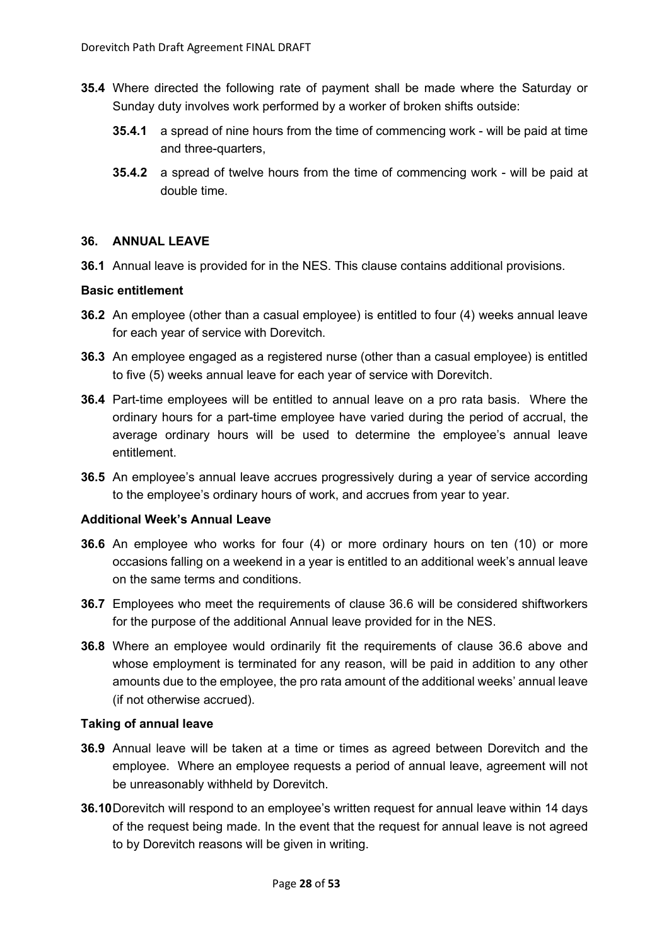- **35.4** Where directed the following rate of payment shall be made where the Saturday or Sunday duty involves work performed by a worker of broken shifts outside:
	- **35.4.1** a spread of nine hours from the time of commencing work will be paid at time and three-quarters,
	- **35.4.2** a spread of twelve hours from the time of commencing work will be paid at double time.

#### <span id="page-27-0"></span>**36. ANNUAL LEAVE**

**36.1** Annual leave is provided for in the NES. This clause contains additional provisions.

#### **Basic entitlement**

- **36.2** An employee (other than a casual employee) is entitled to four (4) weeks annual leave for each year of service with Dorevitch.
- **36.3** An employee engaged as a registered nurse (other than a casual employee) is entitled to five (5) weeks annual leave for each year of service with Dorevitch.
- **36.4** Part-time employees will be entitled to annual leave on a pro rata basis. Where the ordinary hours for a part-time employee have varied during the period of accrual, the average ordinary hours will be used to determine the employee's annual leave entitlement.
- **36.5** An employee's annual leave accrues progressively during a year of service according to the employee's ordinary hours of work, and accrues from year to year.

#### **Additional Week's Annual Leave**

- **36.6** An employee who works for four (4) or more ordinary hours on ten (10) or more occasions falling on a weekend in a year is entitled to an additional week's annual leave on the same terms and conditions.
- **36.7** Employees who meet the requirements of clause 36.6 will be considered shiftworkers for the purpose of the additional Annual leave provided for in the NES.
- **36.8** Where an employee would ordinarily fit the requirements of clause 36.6 above and whose employment is terminated for any reason, will be paid in addition to any other amounts due to the employee, the pro rata amount of the additional weeks' annual leave (if not otherwise accrued).

#### **Taking of annual leave**

- **36.9** Annual leave will be taken at a time or times as agreed between Dorevitch and the employee. Where an employee requests a period of annual leave, agreement will not be unreasonably withheld by Dorevitch.
- **36.10**Dorevitch will respond to an employee's written request for annual leave within 14 days of the request being made. In the event that the request for annual leave is not agreed to by Dorevitch reasons will be given in writing.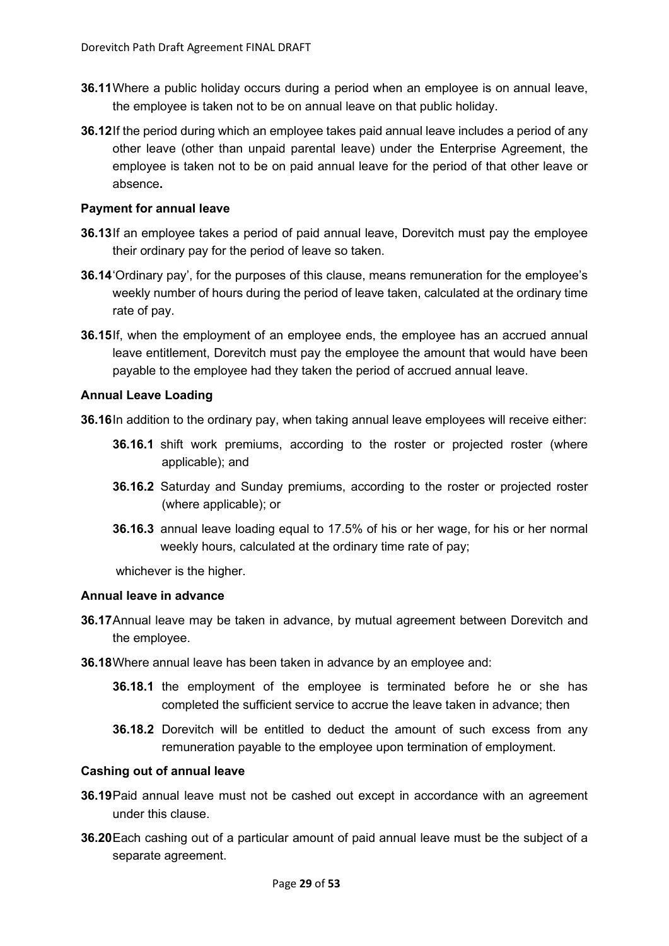- **36.11**Where a public holiday occurs during a period when an employee is on annual leave, the employee is taken not to be on annual leave on that public holiday.
- **36.12**If the period during which an employee takes paid annual leave includes a period of any other leave (other than unpaid parental leave) under the Enterprise Agreement, the employee is taken not to be on paid annual leave for the period of that other leave or absence**.**

## **Payment for annual leave**

- **36.13**If an employee takes a period of paid annual leave, Dorevitch must pay the employee their ordinary pay for the period of leave so taken.
- **36.14**'Ordinary pay', for the purposes of this clause, means remuneration for the employee's weekly number of hours during the period of leave taken, calculated at the ordinary time rate of pay.
- **36.15**If, when the employment of an employee ends, the employee has an accrued annual leave entitlement, Dorevitch must pay the employee the amount that would have been payable to the employee had they taken the period of accrued annual leave.

## **Annual Leave Loading**

**36.16**In addition to the ordinary pay, when taking annual leave employees will receive either:

- **36.16.1** shift work premiums, according to the roster or projected roster (where applicable); and
- **36.16.2** Saturday and Sunday premiums, according to the roster or projected roster (where applicable); or
- **36.16.3** annual leave loading equal to 17.5% of his or her wage, for his or her normal weekly hours, calculated at the ordinary time rate of pay;

whichever is the higher.

#### **Annual leave in advance**

- **36.17**Annual leave may be taken in advance, by mutual agreement between Dorevitch and the employee.
- **36.18**Where annual leave has been taken in advance by an employee and:
	- **36.18.1** the employment of the employee is terminated before he or she has completed the sufficient service to accrue the leave taken in advance; then
	- **36.18.2** Dorevitch will be entitled to deduct the amount of such excess from any remuneration payable to the employee upon termination of employment.

#### **Cashing out of annual leave**

- **36.19**Paid annual leave must not be cashed out except in accordance with an agreement under this clause.
- **36.20**Each cashing out of a particular amount of paid annual leave must be the subject of a separate agreement.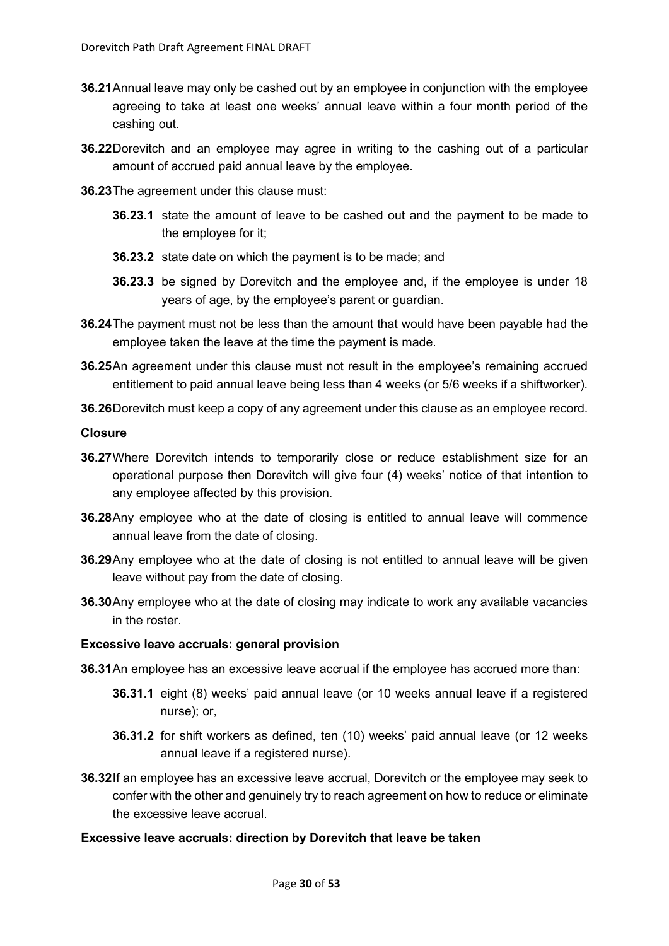- **36.21**Annual leave may only be cashed out by an employee in conjunction with the employee agreeing to take at least one weeks' annual leave within a four month period of the cashing out.
- **36.22**Dorevitch and an employee may agree in writing to the cashing out of a particular amount of accrued paid annual leave by the employee.
- **36.23**The agreement under this clause must:
	- **36.23.1** state the amount of leave to be cashed out and the payment to be made to the employee for it;
	- **36.23.2** state date on which the payment is to be made; and
	- **36.23.3** be signed by Dorevitch and the employee and, if the employee is under 18 years of age, by the employee's parent or guardian.
- **36.24**The payment must not be less than the amount that would have been payable had the employee taken the leave at the time the payment is made.
- **36.25**An agreement under this clause must not result in the employee's remaining accrued entitlement to paid annual leave being less than 4 weeks (or 5/6 weeks if a shiftworker).
- **36.26**Dorevitch must keep a copy of any agreement under this clause as an employee record.

#### **Closure**

- **36.27**Where Dorevitch intends to temporarily close or reduce establishment size for an operational purpose then Dorevitch will give four (4) weeks' notice of that intention to any employee affected by this provision.
- **36.28**Any employee who at the date of closing is entitled to annual leave will commence annual leave from the date of closing.
- **36.29**Any employee who at the date of closing is not entitled to annual leave will be given leave without pay from the date of closing.
- **36.30**Any employee who at the date of closing may indicate to work any available vacancies in the roster.

#### **Excessive leave accruals: general provision**

- **36.31**An employee has an excessive leave accrual if the employee has accrued more than:
	- **36.31.1** eight (8) weeks' paid annual leave (or 10 weeks annual leave if a registered nurse); or,
	- **36.31.2** for shift workers as defined, ten (10) weeks' paid annual leave (or 12 weeks annual leave if a registered nurse).
- **36.32**If an employee has an excessive leave accrual, Dorevitch or the employee may seek to confer with the other and genuinely try to reach agreement on how to reduce or eliminate the excessive leave accrual.

# **Excessive leave accruals: direction by Dorevitch that leave be taken**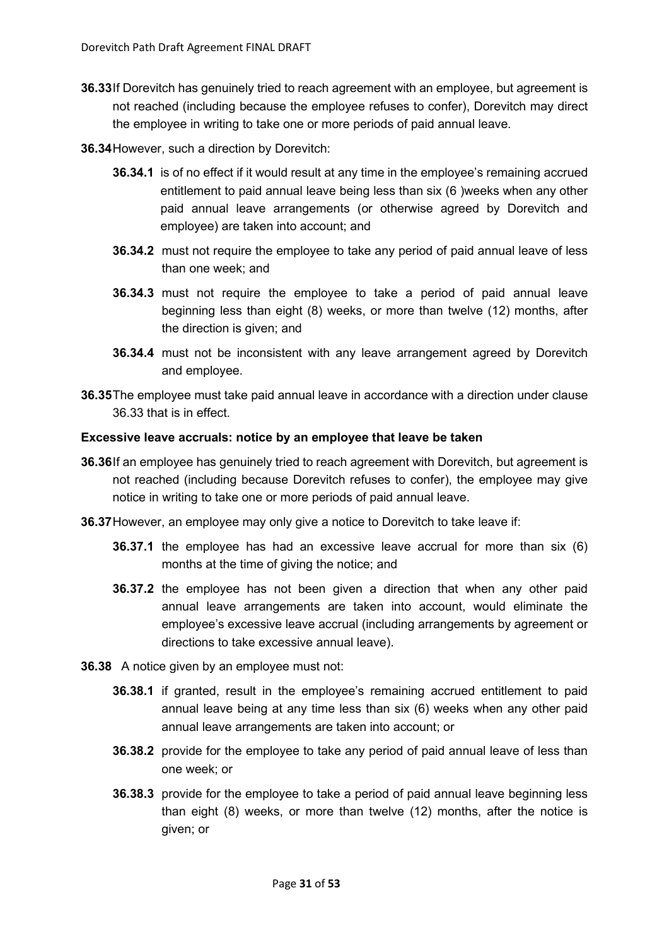- **36.33**If Dorevitch has genuinely tried to reach agreement with an employee, but agreement is not reached (including because the employee refuses to confer), Dorevitch may direct the employee in writing to take one or more periods of paid annual leave.
- **36.34**However, such a direction by Dorevitch:
	- **36.34.1** is of no effect if it would result at any time in the employee's remaining accrued entitlement to paid annual leave being less than six (6 )weeks when any other paid annual leave arrangements (or otherwise agreed by Dorevitch and employee) are taken into account; and
	- **36.34.2** must not require the employee to take any period of paid annual leave of less than one week; and
	- **36.34.3** must not require the employee to take a period of paid annual leave beginning less than eight (8) weeks, or more than twelve (12) months, after the direction is given; and
	- **36.34.4** must not be inconsistent with any leave arrangement agreed by Dorevitch and employee.
- **36.35**The employee must take paid annual leave in accordance with a direction under clause 36.33 that is in effect.

#### **Excessive leave accruals: notice by an employee that leave be taken**

- **36.36**If an employee has genuinely tried to reach agreement with Dorevitch, but agreement is not reached (including because Dorevitch refuses to confer), the employee may give notice in writing to take one or more periods of paid annual leave.
- **36.37**However, an employee may only give a notice to Dorevitch to take leave if:
	- **36.37.1** the employee has had an excessive leave accrual for more than six (6) months at the time of giving the notice; and
	- **36.37.2** the employee has not been given a direction that when any other paid annual leave arrangements are taken into account, would eliminate the employee's excessive leave accrual (including arrangements by agreement or directions to take excessive annual leave).
- **36.38** A notice given by an employee must not:
	- **36.38.1** if granted, result in the employee's remaining accrued entitlement to paid annual leave being at any time less than six (6) weeks when any other paid annual leave arrangements are taken into account; or
	- **36.38.2** provide for the employee to take any period of paid annual leave of less than one week; or
	- **36.38.3** provide for the employee to take a period of paid annual leave beginning less than eight (8) weeks, or more than twelve (12) months, after the notice is given; or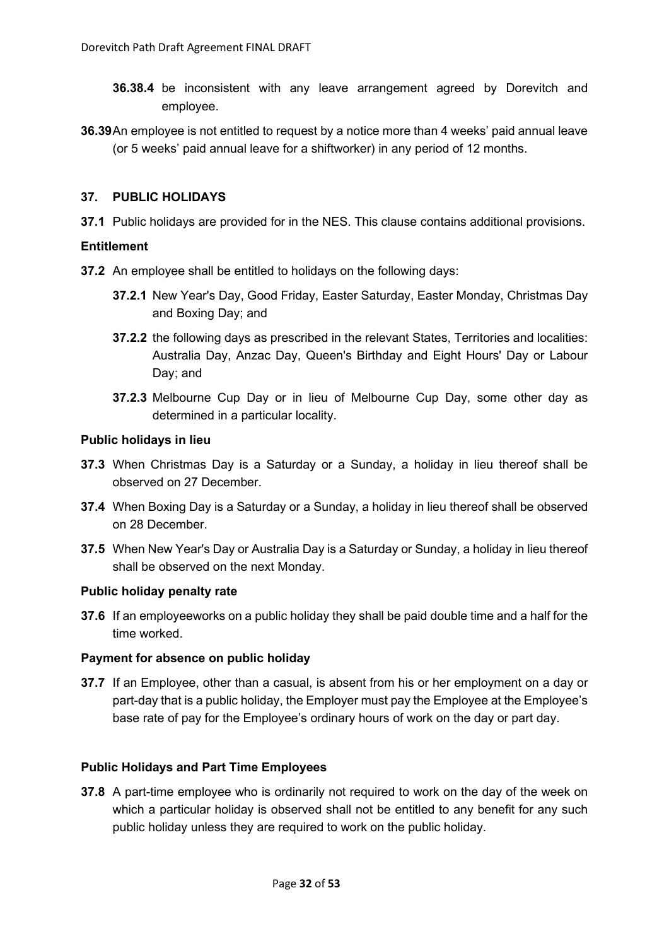- **36.38.4** be inconsistent with any leave arrangement agreed by Dorevitch and employee.
- **36.39**An employee is not entitled to request by a notice more than 4 weeks' paid annual leave (or 5 weeks' paid annual leave for a shiftworker) in any period of 12 months.

## <span id="page-31-0"></span>**37. PUBLIC HOLIDAYS**

**37.1** Public holidays are provided for in the NES. This clause contains additional provisions.

## **Entitlement**

- **37.2** An employee shall be entitled to holidays on the following days:
	- **37.2.1** New Year's Day, Good Friday, Easter Saturday, Easter Monday, Christmas Day and Boxing Day; and
	- **37.2.2** the following days as prescribed in the relevant States, Territories and localities: Australia Day, Anzac Day, Queen's Birthday and Eight Hours' Day or Labour Day; and
	- **37.2.3** Melbourne Cup Day or in lieu of Melbourne Cup Day, some other day as determined in a particular locality.

#### **Public holidays in lieu**

- **37.3** When Christmas Day is a Saturday or a Sunday, a holiday in lieu thereof shall be observed on 27 December.
- **37.4** When Boxing Day is a Saturday or a Sunday, a holiday in lieu thereof shall be observed on 28 December.
- **37.5** When New Year's Day or Australia Day is a Saturday or Sunday, a holiday in lieu thereof shall be observed on the next Monday.

#### **Public holiday penalty rate**

**37.6** If an employeeworks on a public holiday they shall be paid double time and a half for the time worked.

#### **Payment for absence on public holiday**

**37.7** If an Employee, other than a casual, is absent from his or her employment on a day or part-day that is a public holiday, the Employer must pay the Employee at the Employee's base rate of pay for the Employee's ordinary hours of work on the day or part day.

#### **Public Holidays and Part Time Employees**

**37.8** A part-time employee who is ordinarily not required to work on the day of the week on which a particular holiday is observed shall not be entitled to any benefit for any such public holiday unless they are required to work on the public holiday.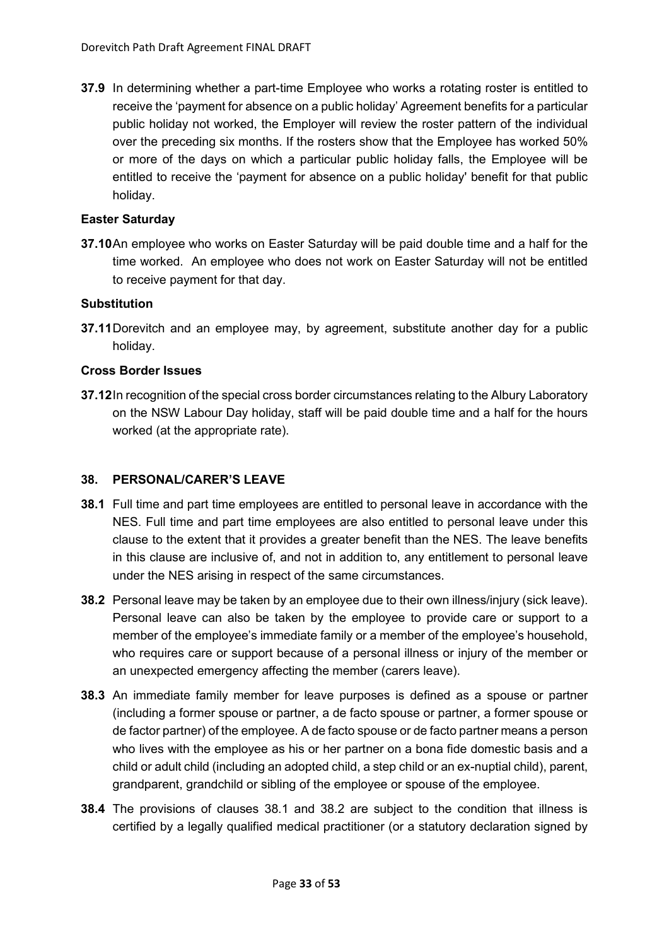**37.9** In determining whether a part-time Employee who works a rotating roster is entitled to receive the 'payment for absence on a public holiday' Agreement benefits for a particular public holiday not worked, the Employer will review the roster pattern of the individual over the preceding six months. If the rosters show that the Employee has worked 50% or more of the days on which a particular public holiday falls, the Employee will be entitled to receive the 'payment for absence on a public holiday' benefit for that public holiday.

## **Easter Saturday**

**37.10**An employee who works on Easter Saturday will be paid double time and a half for the time worked. An employee who does not work on Easter Saturday will not be entitled to receive payment for that day.

#### **Substitution**

**37.11**Dorevitch and an employee may, by agreement, substitute another day for a public holiday.

## **Cross Border Issues**

**37.12**In recognition of the special cross border circumstances relating to the Albury Laboratory on the NSW Labour Day holiday, staff will be paid double time and a half for the hours worked (at the appropriate rate).

#### <span id="page-32-0"></span>**38. PERSONAL/CARER'S LEAVE**

- **38.1** Full time and part time employees are entitled to personal leave in accordance with the NES. Full time and part time employees are also entitled to personal leave under this clause to the extent that it provides a greater benefit than the NES. The leave benefits in this clause are inclusive of, and not in addition to, any entitlement to personal leave under the NES arising in respect of the same circumstances.
- **38.2** Personal leave may be taken by an employee due to their own illness/injury (sick leave). Personal leave can also be taken by the employee to provide care or support to a member of the employee's immediate family or a member of the employee's household, who requires care or support because of a personal illness or injury of the member or an unexpected emergency affecting the member (carers leave).
- **38.3** An immediate family member for leave purposes is defined as a spouse or partner (including a former spouse or partner, a de facto spouse or partner, a former spouse or de factor partner) of the employee. A de facto spouse or de facto partner means a person who lives with the employee as his or her partner on a bona fide domestic basis and a child or adult child (including an adopted child, a step child or an ex-nuptial child), parent, grandparent, grandchild or sibling of the employee or spouse of the employee.
- **38.4** The provisions of clauses 38.1 and 38.2 are subject to the condition that illness is certified by a legally qualified medical practitioner (or a statutory declaration signed by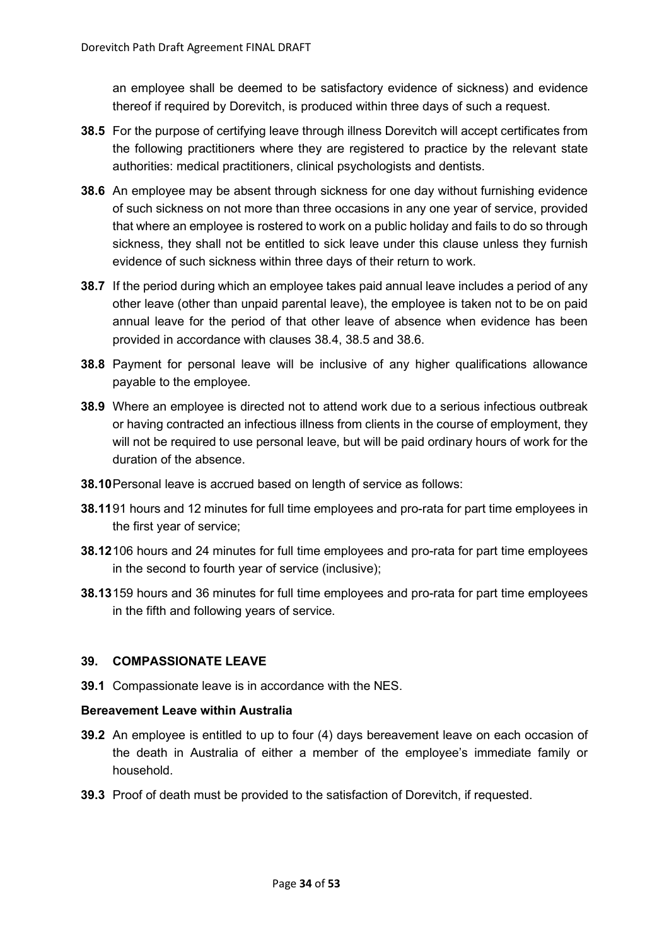an employee shall be deemed to be satisfactory evidence of sickness) and evidence thereof if required by Dorevitch, is produced within three days of such a request.

- **38.5** For the purpose of certifying leave through illness Dorevitch will accept certificates from the following practitioners where they are registered to practice by the relevant state authorities: medical practitioners, clinical psychologists and dentists.
- **38.6** An employee may be absent through sickness for one day without furnishing evidence of such sickness on not more than three occasions in any one year of service, provided that where an employee is rostered to work on a public holiday and fails to do so through sickness, they shall not be entitled to sick leave under this clause unless they furnish evidence of such sickness within three days of their return to work.
- **38.7** If the period during which an employee takes paid annual leave includes a period of any other leave (other than unpaid parental leave), the employee is taken not to be on paid annual leave for the period of that other leave of absence when evidence has been provided in accordance with clauses 38.4, 38.5 and 38.6.
- **38.8** Payment for personal leave will be inclusive of any higher qualifications allowance payable to the employee.
- **38.9** Where an employee is directed not to attend work due to a serious infectious outbreak or having contracted an infectious illness from clients in the course of employment, they will not be required to use personal leave, but will be paid ordinary hours of work for the duration of the absence.
- **38.10**Personal leave is accrued based on length of service as follows:
- **38.11**91 hours and 12 minutes for full time employees and pro-rata for part time employees in the first year of service;
- **38.12**106 hours and 24 minutes for full time employees and pro-rata for part time employees in the second to fourth year of service (inclusive);
- **38.13**159 hours and 36 minutes for full time employees and pro-rata for part time employees in the fifth and following years of service.

# <span id="page-33-0"></span>**39. COMPASSIONATE LEAVE**

**39.1** Compassionate leave is in accordance with the NES.

#### **Bereavement Leave within Australia**

- **39.2** An employee is entitled to up to four (4) days bereavement leave on each occasion of the death in Australia of either a member of the employee's immediate family or household.
- **39.3** Proof of death must be provided to the satisfaction of Dorevitch, if requested.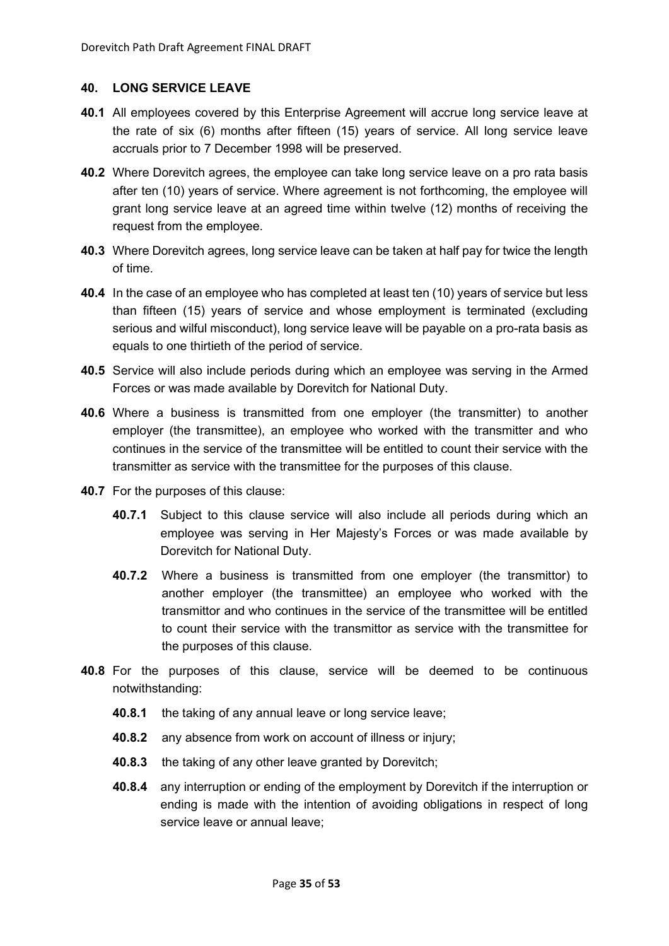#### <span id="page-34-0"></span>**40. LONG SERVICE LEAVE**

- **40.1** All employees covered by this Enterprise Agreement will accrue long service leave at the rate of six (6) months after fifteen (15) years of service. All long service leave accruals prior to 7 December 1998 will be preserved.
- **40.2** Where Dorevitch agrees, the employee can take long service leave on a pro rata basis after ten (10) years of service. Where agreement is not forthcoming, the employee will grant long service leave at an agreed time within twelve (12) months of receiving the request from the employee.
- **40.3** Where Dorevitch agrees, long service leave can be taken at half pay for twice the length of time.
- **40.4** In the case of an employee who has completed at least ten (10) years of service but less than fifteen (15) years of service and whose employment is terminated (excluding serious and wilful misconduct), long service leave will be payable on a pro-rata basis as equals to one thirtieth of the period of service.
- **40.5** Service will also include periods during which an employee was serving in the Armed Forces or was made available by Dorevitch for National Duty.
- **40.6** Where a business is transmitted from one employer (the transmitter) to another employer (the transmittee), an employee who worked with the transmitter and who continues in the service of the transmittee will be entitled to count their service with the transmitter as service with the transmittee for the purposes of this clause.
- **40.7** For the purposes of this clause:
	- **40.7.1** Subject to this clause service will also include all periods during which an employee was serving in Her Majesty's Forces or was made available by Dorevitch for National Duty.
	- **40.7.2** Where a business is transmitted from one employer (the transmittor) to another employer (the transmittee) an employee who worked with the transmittor and who continues in the service of the transmittee will be entitled to count their service with the transmittor as service with the transmittee for the purposes of this clause.
- **40.8** For the purposes of this clause, service will be deemed to be continuous notwithstanding:
	- **40.8.1** the taking of any annual leave or long service leave;
	- **40.8.2** any absence from work on account of illness or injury;
	- **40.8.3** the taking of any other leave granted by Dorevitch;
	- **40.8.4** any interruption or ending of the employment by Dorevitch if the interruption or ending is made with the intention of avoiding obligations in respect of long service leave or annual leave;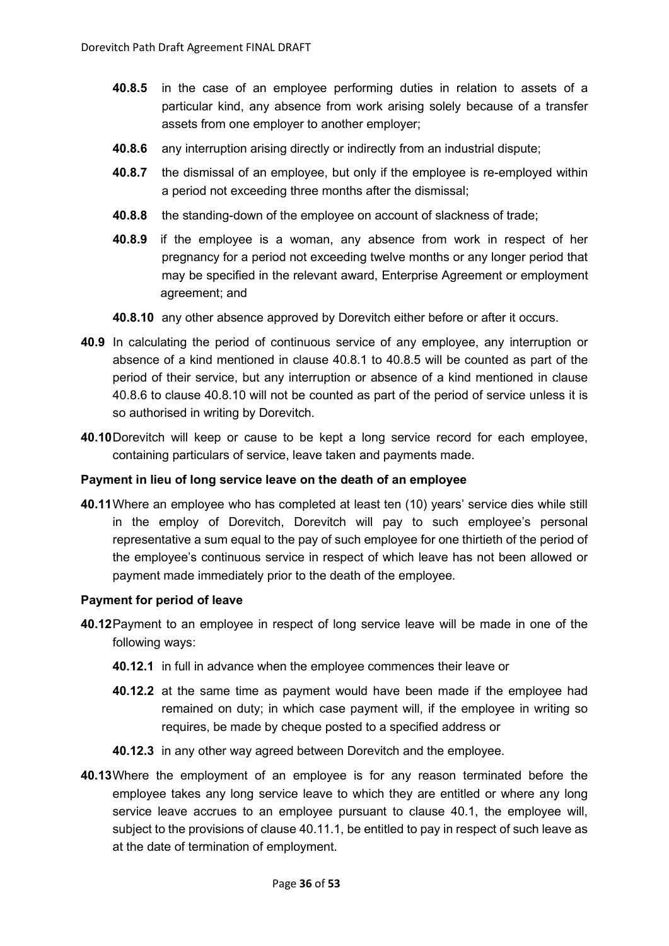- **40.8.5** in the case of an employee performing duties in relation to assets of a particular kind, any absence from work arising solely because of a transfer assets from one employer to another employer;
- **40.8.6** any interruption arising directly or indirectly from an industrial dispute;
- **40.8.7** the dismissal of an employee, but only if the employee is re-employed within a period not exceeding three months after the dismissal;
- **40.8.8** the standing-down of the employee on account of slackness of trade;
- **40.8.9** if the employee is a woman, any absence from work in respect of her pregnancy for a period not exceeding twelve months or any longer period that may be specified in the relevant award, Enterprise Agreement or employment agreement; and
- **40.8.10** any other absence approved by Dorevitch either before or after it occurs.
- **40.9** In calculating the period of continuous service of any employee, any interruption or absence of a kind mentioned in clause 40.8.1 to 40.8.5 will be counted as part of the period of their service, but any interruption or absence of a kind mentioned in clause 40.8.6 to clause 40.8.10 will not be counted as part of the period of service unless it is so authorised in writing by Dorevitch.
- **40.10**Dorevitch will keep or cause to be kept a long service record for each employee, containing particulars of service, leave taken and payments made.

## **Payment in lieu of long service leave on the death of an employee**

**40.11**Where an employee who has completed at least ten (10) years' service dies while still in the employ of Dorevitch, Dorevitch will pay to such employee's personal representative a sum equal to the pay of such employee for one thirtieth of the period of the employee's continuous service in respect of which leave has not been allowed or payment made immediately prior to the death of the employee.

#### **Payment for period of leave**

- **40.12**Payment to an employee in respect of long service leave will be made in one of the following ways:
	- **40.12.1** in full in advance when the employee commences their leave or
	- **40.12.2** at the same time as payment would have been made if the employee had remained on duty; in which case payment will, if the employee in writing so requires, be made by cheque posted to a specified address or
	- **40.12.3** in any other way agreed between Dorevitch and the employee.
- **40.13**Where the employment of an employee is for any reason terminated before the employee takes any long service leave to which they are entitled or where any long service leave accrues to an employee pursuant to clause 40.1, the employee will, subject to the provisions of clause 40.11.1, be entitled to pay in respect of such leave as at the date of termination of employment.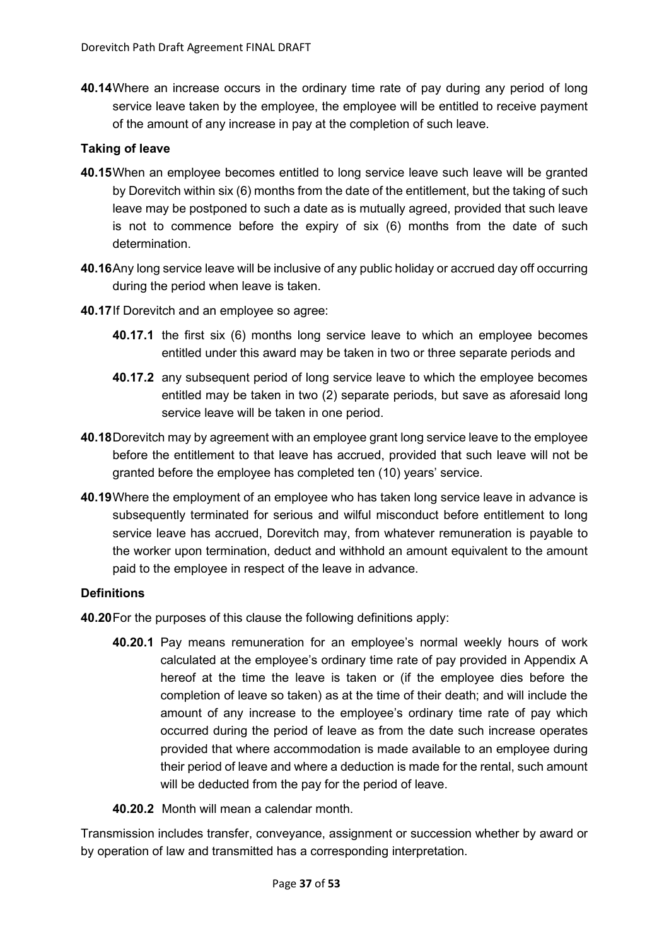**40.14**Where an increase occurs in the ordinary time rate of pay during any period of long service leave taken by the employee, the employee will be entitled to receive payment of the amount of any increase in pay at the completion of such leave.

## **Taking of leave**

- **40.15**When an employee becomes entitled to long service leave such leave will be granted by Dorevitch within six (6) months from the date of the entitlement, but the taking of such leave may be postponed to such a date as is mutually agreed, provided that such leave is not to commence before the expiry of six (6) months from the date of such determination.
- **40.16**Any long service leave will be inclusive of any public holiday or accrued day off occurring during the period when leave is taken.
- **40.17**If Dorevitch and an employee so agree:
	- **40.17.1** the first six (6) months long service leave to which an employee becomes entitled under this award may be taken in two or three separate periods and
	- **40.17.2** any subsequent period of long service leave to which the employee becomes entitled may be taken in two (2) separate periods, but save as aforesaid long service leave will be taken in one period.
- **40.18**Dorevitch may by agreement with an employee grant long service leave to the employee before the entitlement to that leave has accrued, provided that such leave will not be granted before the employee has completed ten (10) years' service.
- **40.19**Where the employment of an employee who has taken long service leave in advance is subsequently terminated for serious and wilful misconduct before entitlement to long service leave has accrued, Dorevitch may, from whatever remuneration is payable to the worker upon termination, deduct and withhold an amount equivalent to the amount paid to the employee in respect of the leave in advance.

#### **Definitions**

- **40.20**For the purposes of this clause the following definitions apply:
	- **40.20.1** Pay means remuneration for an employee's normal weekly hours of work calculated at the employee's ordinary time rate of pay provided in Appendix A hereof at the time the leave is taken or (if the employee dies before the completion of leave so taken) as at the time of their death; and will include the amount of any increase to the employee's ordinary time rate of pay which occurred during the period of leave as from the date such increase operates provided that where accommodation is made available to an employee during their period of leave and where a deduction is made for the rental, such amount will be deducted from the pay for the period of leave.
	- **40.20.2** Month will mean a calendar month.

Transmission includes transfer, conveyance, assignment or succession whether by award or by operation of law and transmitted has a corresponding interpretation.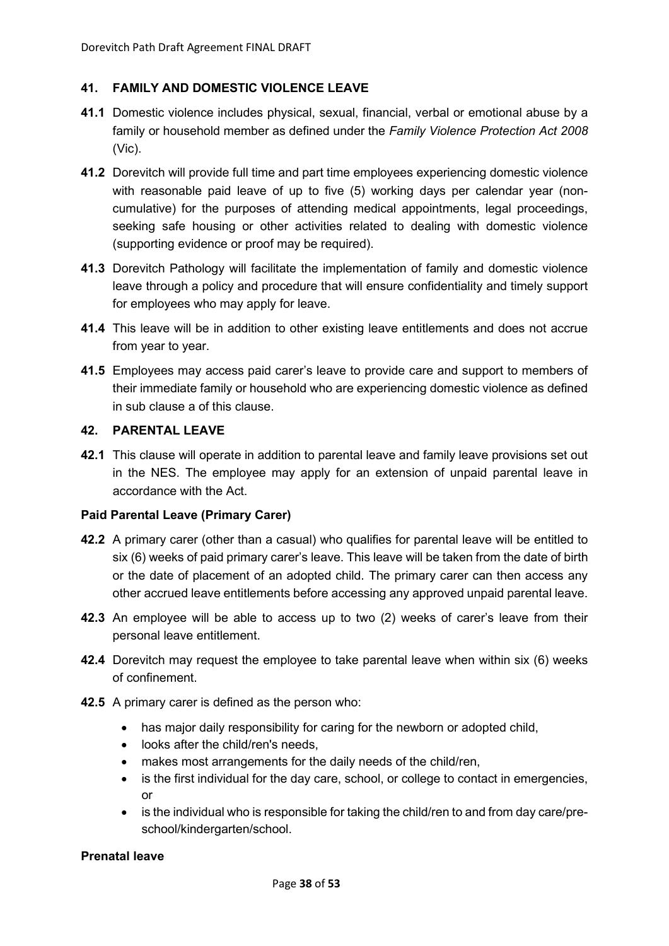## <span id="page-37-0"></span>**41. FAMILY AND DOMESTIC VIOLENCE LEAVE**

- **41.1** Domestic violence includes physical, sexual, financial, verbal or emotional abuse by a family or household member as defined under the *Family Violence Protection Act 2008* (Vic).
- **41.2** Dorevitch will provide full time and part time employees experiencing domestic violence with reasonable paid leave of up to five (5) working days per calendar year (noncumulative) for the purposes of attending medical appointments, legal proceedings, seeking safe housing or other activities related to dealing with domestic violence (supporting evidence or proof may be required).
- **41.3** Dorevitch Pathology will facilitate the implementation of family and domestic violence leave through a policy and procedure that will ensure confidentiality and timely support for employees who may apply for leave.
- **41.4** This leave will be in addition to other existing leave entitlements and does not accrue from year to year.
- **41.5** Employees may access paid carer's leave to provide care and support to members of their immediate family or household who are experiencing domestic violence as defined in sub clause a of this clause.

#### <span id="page-37-1"></span>**42. PARENTAL LEAVE**

**42.1** This clause will operate in addition to parental leave and family leave provisions set out in the NES. The employee may apply for an extension of unpaid parental leave in accordance with the Act.

#### **Paid Parental Leave (Primary Carer)**

- **42.2** A primary carer (other than a casual) who qualifies for parental leave will be entitled to six (6) weeks of paid primary carer's leave. This leave will be taken from the date of birth or the date of placement of an adopted child. The primary carer can then access any other accrued leave entitlements before accessing any approved unpaid parental leave.
- **42.3** An employee will be able to access up to two (2) weeks of carer's leave from their personal leave entitlement.
- **42.4** Dorevitch may request the employee to take parental leave when within six (6) weeks of confinement.
- **42.5** A primary carer is defined as the person who:
	- has major daily responsibility for caring for the newborn or adopted child,
	- looks after the child/ren's needs,
	- makes most arrangements for the daily needs of the child/ren,
	- is the first individual for the day care, school, or college to contact in emergencies, or
	- is the individual who is responsible for taking the child/ren to and from day care/preschool/kindergarten/school.

#### **Prenatal leave**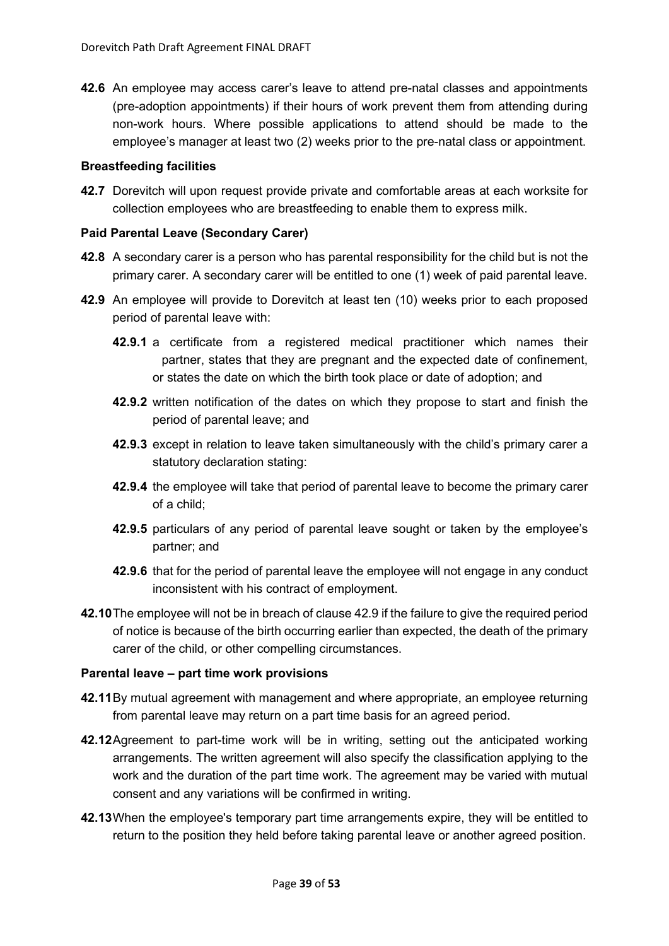**42.6** An employee may access carer's leave to attend pre-natal classes and appointments (pre-adoption appointments) if their hours of work prevent them from attending during non-work hours. Where possible applications to attend should be made to the employee's manager at least two (2) weeks prior to the pre-natal class or appointment.

## **Breastfeeding facilities**

**42.7** Dorevitch will upon request provide private and comfortable areas at each worksite for collection employees who are breastfeeding to enable them to express milk.

## **Paid Parental Leave (Secondary Carer)**

- **42.8** A secondary carer is a person who has parental responsibility for the child but is not the primary carer. A secondary carer will be entitled to one (1) week of paid parental leave.
- **42.9** An employee will provide to Dorevitch at least ten (10) weeks prior to each proposed period of parental leave with:
	- **42.9.1** a certificate from a registered medical practitioner which names their partner, states that they are pregnant and the expected date of confinement, or states the date on which the birth took place or date of adoption; and
	- **42.9.2** written notification of the dates on which they propose to start and finish the period of parental leave; and
	- **42.9.3** except in relation to leave taken simultaneously with the child's primary carer a statutory declaration stating:
	- **42.9.4** the employee will take that period of parental leave to become the primary carer of a child;
	- **42.9.5** particulars of any period of parental leave sought or taken by the employee's partner; and
	- **42.9.6** that for the period of parental leave the employee will not engage in any conduct inconsistent with his contract of employment.
- **42.10**The employee will not be in breach of clause 42.9 if the failure to give the required period of notice is because of the birth occurring earlier than expected, the death of the primary carer of the child, or other compelling circumstances.

#### **Parental leave – part time work provisions**

- **42.11**By mutual agreement with management and where appropriate, an employee returning from parental leave may return on a part time basis for an agreed period.
- **42.12**Agreement to part-time work will be in writing, setting out the anticipated working arrangements. The written agreement will also specify the classification applying to the work and the duration of the part time work. The agreement may be varied with mutual consent and any variations will be confirmed in writing.
- **42.13**When the employee's temporary part time arrangements expire, they will be entitled to return to the position they held before taking parental leave or another agreed position.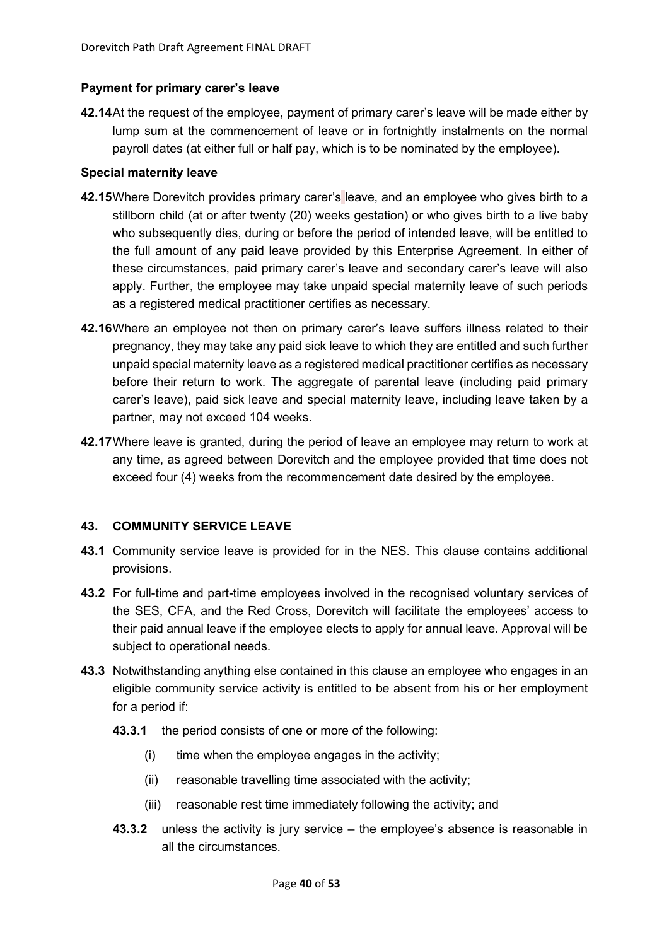## **Payment for primary carer's leave**

**42.14**At the request of the employee, payment of primary carer's leave will be made either by lump sum at the commencement of leave or in fortnightly instalments on the normal payroll dates (at either full or half pay, which is to be nominated by the employee).

## **Special maternity leave**

- **42.15**Where Dorevitch provides primary carer's leave, and an employee who gives birth to a stillborn child (at or after twenty (20) weeks gestation) or who gives birth to a live baby who subsequently dies, during or before the period of intended leave, will be entitled to the full amount of any paid leave provided by this Enterprise Agreement. In either of these circumstances, paid primary carer's leave and secondary carer's leave will also apply. Further, the employee may take unpaid special maternity leave of such periods as a registered medical practitioner certifies as necessary.
- **42.16**Where an employee not then on primary carer's leave suffers illness related to their pregnancy, they may take any paid sick leave to which they are entitled and such further unpaid special maternity leave as a registered medical practitioner certifies as necessary before their return to work. The aggregate of parental leave (including paid primary carer's leave), paid sick leave and special maternity leave, including leave taken by a partner, may not exceed 104 weeks.
- **42.17**Where leave is granted, during the period of leave an employee may return to work at any time, as agreed between Dorevitch and the employee provided that time does not exceed four (4) weeks from the recommencement date desired by the employee.

# <span id="page-39-0"></span>**43. COMMUNITY SERVICE LEAVE**

- **43.1** Community service leave is provided for in the NES. This clause contains additional provisions.
- **43.2** For full-time and part-time employees involved in the recognised voluntary services of the SES, CFA, and the Red Cross, Dorevitch will facilitate the employees' access to their paid annual leave if the employee elects to apply for annual leave. Approval will be subject to operational needs.
- **43.3** Notwithstanding anything else contained in this clause an employee who engages in an eligible community service activity is entitled to be absent from his or her employment for a period if:
	- **43.3.1** the period consists of one or more of the following:
		- (i) time when the employee engages in the activity;
		- (ii) reasonable travelling time associated with the activity;
		- (iii) reasonable rest time immediately following the activity; and
	- **43.3.2** unless the activity is jury service the employee's absence is reasonable in all the circumstances.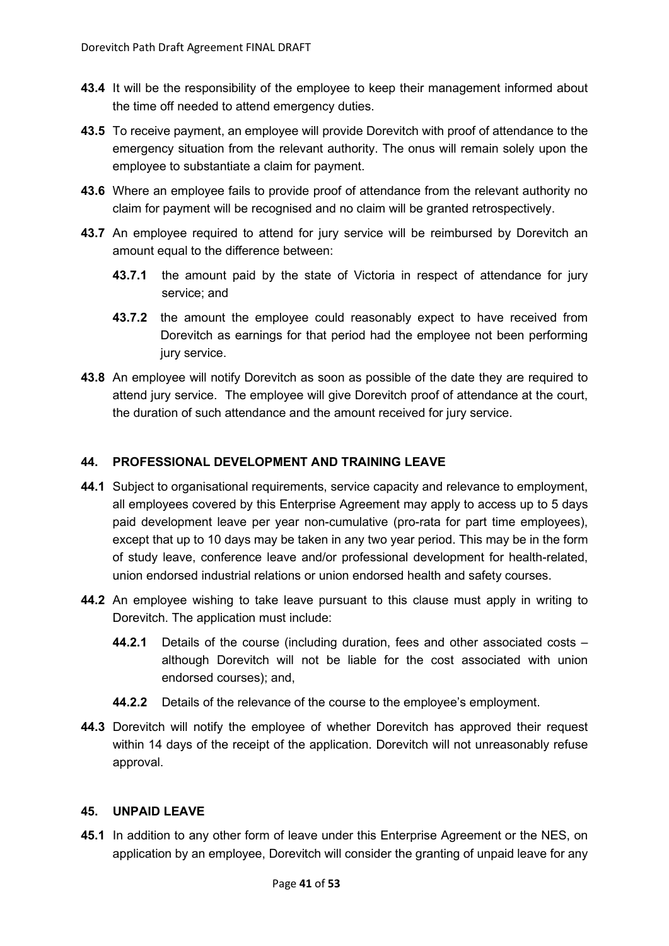- **43.4** It will be the responsibility of the employee to keep their management informed about the time off needed to attend emergency duties.
- **43.5** To receive payment, an employee will provide Dorevitch with proof of attendance to the emergency situation from the relevant authority. The onus will remain solely upon the employee to substantiate a claim for payment.
- **43.6** Where an employee fails to provide proof of attendance from the relevant authority no claim for payment will be recognised and no claim will be granted retrospectively.
- **43.7** An employee required to attend for jury service will be reimbursed by Dorevitch an amount equal to the difference between:
	- **43.7.1** the amount paid by the state of Victoria in respect of attendance for jury service; and
	- **43.7.2** the amount the employee could reasonably expect to have received from Dorevitch as earnings for that period had the employee not been performing jury service.
- **43.8** An employee will notify Dorevitch as soon as possible of the date they are required to attend jury service. The employee will give Dorevitch proof of attendance at the court, the duration of such attendance and the amount received for jury service.

# <span id="page-40-0"></span>**44. PROFESSIONAL DEVELOPMENT AND TRAINING LEAVE**

- **44.1** Subject to organisational requirements, service capacity and relevance to employment, all employees covered by this Enterprise Agreement may apply to access up to 5 days paid development leave per year non-cumulative (pro-rata for part time employees), except that up to 10 days may be taken in any two year period. This may be in the form of study leave, conference leave and/or professional development for health-related, union endorsed industrial relations or union endorsed health and safety courses.
- **44.2** An employee wishing to take leave pursuant to this clause must apply in writing to Dorevitch. The application must include:
	- **44.2.1** Details of the course (including duration, fees and other associated costs although Dorevitch will not be liable for the cost associated with union endorsed courses); and,
	- **44.2.2** Details of the relevance of the course to the employee's employment.
- **44.3** Dorevitch will notify the employee of whether Dorevitch has approved their request within 14 days of the receipt of the application. Dorevitch will not unreasonably refuse approval.

# <span id="page-40-1"></span>**45. UNPAID LEAVE**

**45.1** In addition to any other form of leave under this Enterprise Agreement or the NES, on application by an employee, Dorevitch will consider the granting of unpaid leave for any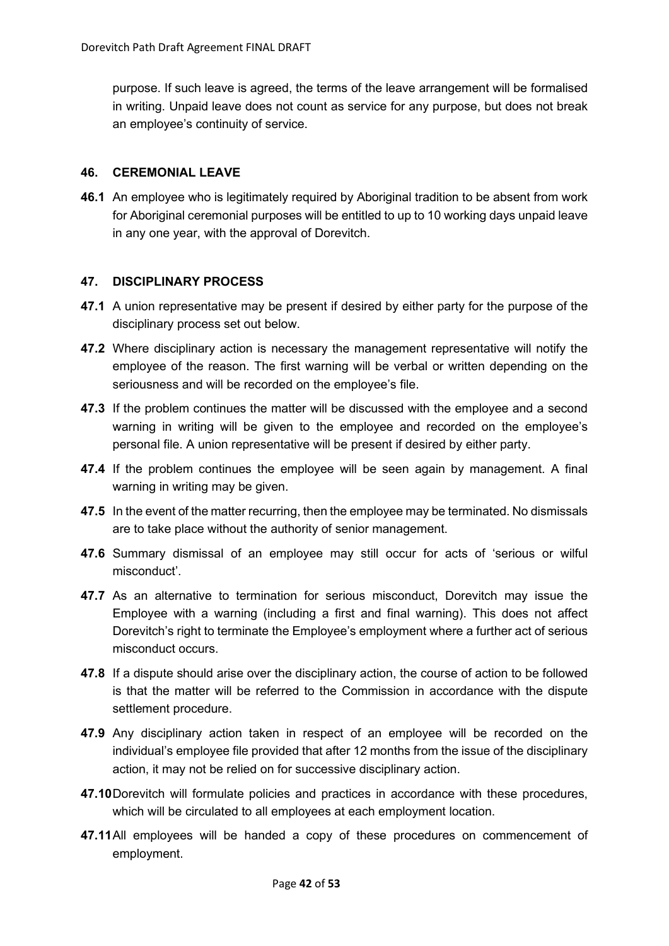purpose. If such leave is agreed, the terms of the leave arrangement will be formalised in writing. Unpaid leave does not count as service for any purpose, but does not break an employee's continuity of service.

## <span id="page-41-0"></span>**46. CEREMONIAL LEAVE**

**46.1** An employee who is legitimately required by Aboriginal tradition to be absent from work for Aboriginal ceremonial purposes will be entitled to up to 10 working days unpaid leave in any one year, with the approval of Dorevitch.

## <span id="page-41-1"></span>**47. DISCIPLINARY PROCESS**

- **47.1** A union representative may be present if desired by either party for the purpose of the disciplinary process set out below.
- **47.2** Where disciplinary action is necessary the management representative will notify the employee of the reason. The first warning will be verbal or written depending on the seriousness and will be recorded on the employee's file.
- **47.3** If the problem continues the matter will be discussed with the employee and a second warning in writing will be given to the employee and recorded on the employee's personal file. A union representative will be present if desired by either party.
- **47.4** If the problem continues the employee will be seen again by management. A final warning in writing may be given.
- **47.5** In the event of the matter recurring, then the employee may be terminated. No dismissals are to take place without the authority of senior management.
- **47.6** Summary dismissal of an employee may still occur for acts of 'serious or wilful misconduct'.
- **47.7** As an alternative to termination for serious misconduct, Dorevitch may issue the Employee with a warning (including a first and final warning). This does not affect Dorevitch's right to terminate the Employee's employment where a further act of serious misconduct occurs.
- **47.8** If a dispute should arise over the disciplinary action, the course of action to be followed is that the matter will be referred to the Commission in accordance with the dispute settlement procedure.
- **47.9** Any disciplinary action taken in respect of an employee will be recorded on the individual's employee file provided that after 12 months from the issue of the disciplinary action, it may not be relied on for successive disciplinary action.
- **47.10**Dorevitch will formulate policies and practices in accordance with these procedures, which will be circulated to all employees at each employment location.
- **47.11**All employees will be handed a copy of these procedures on commencement of employment.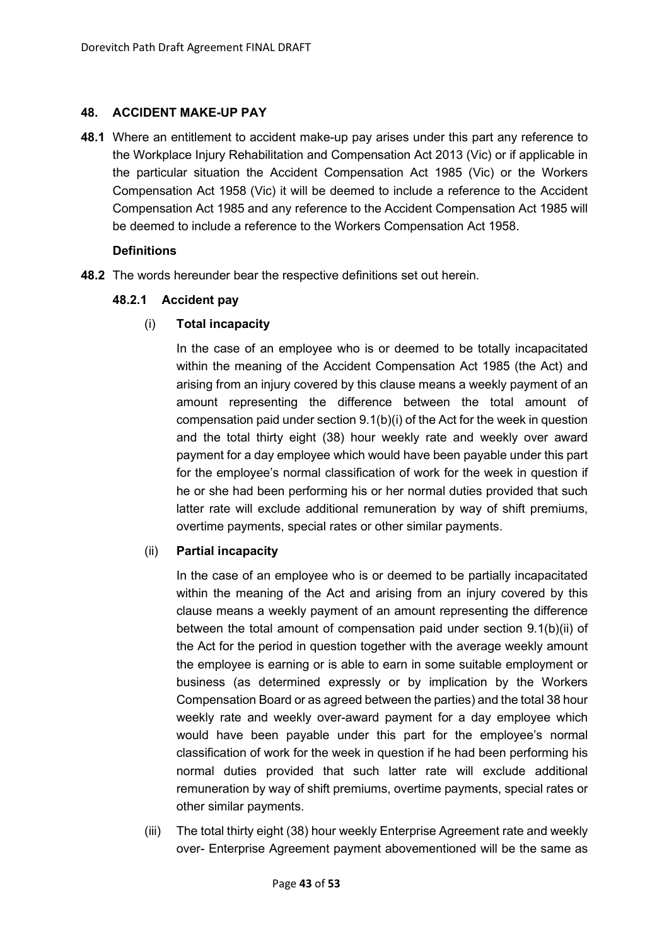### <span id="page-42-0"></span>**48. ACCIDENT MAKE-UP PAY**

**48.1** Where an entitlement to accident make-up pay arises under this part any reference to the Workplace Injury Rehabilitation and Compensation Act 2013 (Vic) or if applicable in the particular situation the Accident Compensation Act 1985 (Vic) or the Workers Compensation Act 1958 (Vic) it will be deemed to include a reference to the Accident Compensation Act 1985 and any reference to the Accident Compensation Act 1985 will be deemed to include a reference to the Workers Compensation Act 1958.

## **Definitions**

**48.2** The words hereunder bear the respective definitions set out herein.

# **48.2.1 Accident pay**

# (i) **Total incapacity**

In the case of an employee who is or deemed to be totally incapacitated within the meaning of the Accident Compensation Act 1985 (the Act) and arising from an injury covered by this clause means a weekly payment of an amount representing the difference between the total amount of compensation paid under section 9.1(b)(i) of the Act for the week in question and the total thirty eight (38) hour weekly rate and weekly over award payment for a day employee which would have been payable under this part for the employee's normal classification of work for the week in question if he or she had been performing his or her normal duties provided that such latter rate will exclude additional remuneration by way of shift premiums, overtime payments, special rates or other similar payments.

# (ii) **Partial incapacity**

In the case of an employee who is or deemed to be partially incapacitated within the meaning of the Act and arising from an injury covered by this clause means a weekly payment of an amount representing the difference between the total amount of compensation paid under section 9.1(b)(ii) of the Act for the period in question together with the average weekly amount the employee is earning or is able to earn in some suitable employment or business (as determined expressly or by implication by the Workers Compensation Board or as agreed between the parties) and the total 38 hour weekly rate and weekly over-award payment for a day employee which would have been payable under this part for the employee's normal classification of work for the week in question if he had been performing his normal duties provided that such latter rate will exclude additional remuneration by way of shift premiums, overtime payments, special rates or other similar payments.

(iii) The total thirty eight (38) hour weekly Enterprise Agreement rate and weekly over- Enterprise Agreement payment abovementioned will be the same as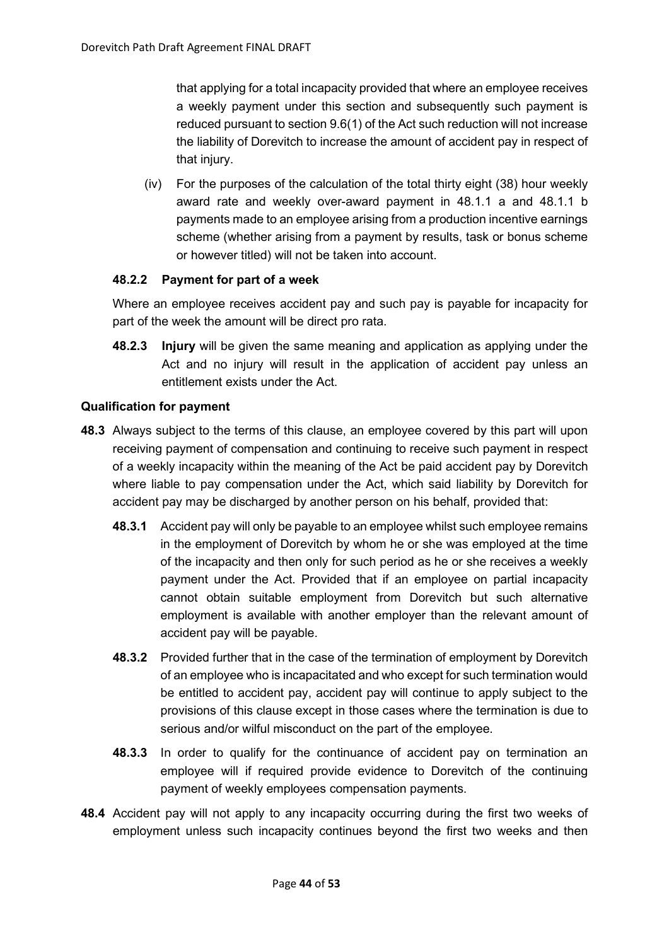that applying for a total incapacity provided that where an employee receives a weekly payment under this section and subsequently such payment is reduced pursuant to section 9.6(1) of the Act such reduction will not increase the liability of Dorevitch to increase the amount of accident pay in respect of that injury.

(iv) For the purposes of the calculation of the total thirty eight (38) hour weekly award rate and weekly over-award payment in 48.1.1 a and 48.1.1 b payments made to an employee arising from a production incentive earnings scheme (whether arising from a payment by results, task or bonus scheme or however titled) will not be taken into account.

## **48.2.2 Payment for part of a week**

Where an employee receives accident pay and such pay is payable for incapacity for part of the week the amount will be direct pro rata.

**48.2.3 Injury** will be given the same meaning and application as applying under the Act and no injury will result in the application of accident pay unless an entitlement exists under the Act.

## **Qualification for payment**

- **48.3** Always subject to the terms of this clause, an employee covered by this part will upon receiving payment of compensation and continuing to receive such payment in respect of a weekly incapacity within the meaning of the Act be paid accident pay by Dorevitch where liable to pay compensation under the Act, which said liability by Dorevitch for accident pay may be discharged by another person on his behalf, provided that:
	- **48.3.1** Accident pay will only be payable to an employee whilst such employee remains in the employment of Dorevitch by whom he or she was employed at the time of the incapacity and then only for such period as he or she receives a weekly payment under the Act. Provided that if an employee on partial incapacity cannot obtain suitable employment from Dorevitch but such alternative employment is available with another employer than the relevant amount of accident pay will be payable.
	- **48.3.2** Provided further that in the case of the termination of employment by Dorevitch of an employee who is incapacitated and who except for such termination would be entitled to accident pay, accident pay will continue to apply subject to the provisions of this clause except in those cases where the termination is due to serious and/or wilful misconduct on the part of the employee.
	- **48.3.3** In order to qualify for the continuance of accident pay on termination an employee will if required provide evidence to Dorevitch of the continuing payment of weekly employees compensation payments.
- **48.4** Accident pay will not apply to any incapacity occurring during the first two weeks of employment unless such incapacity continues beyond the first two weeks and then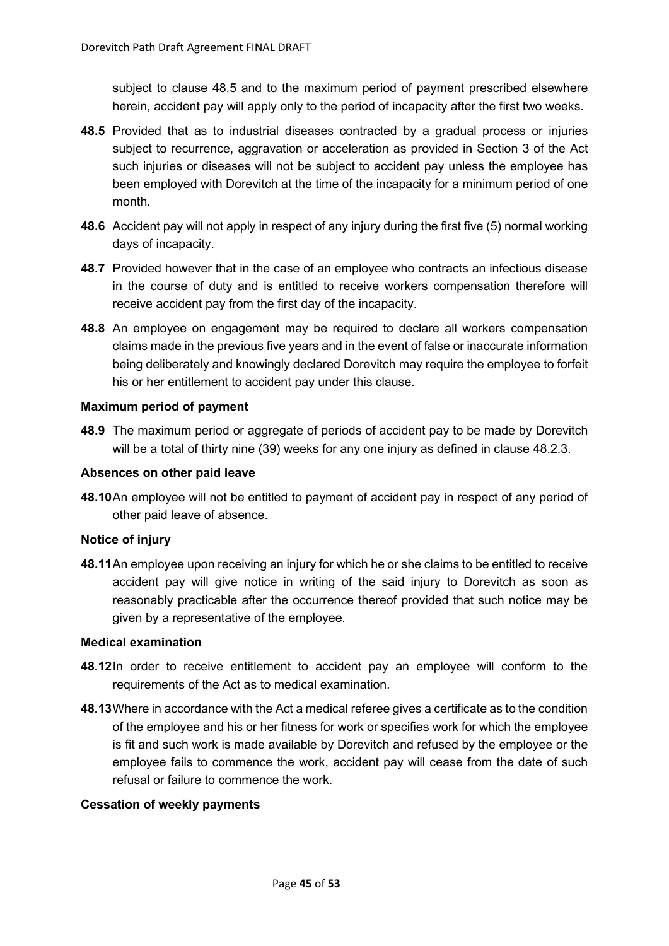subject to clause 48.5 and to the maximum period of payment prescribed elsewhere herein, accident pay will apply only to the period of incapacity after the first two weeks.

- **48.5** Provided that as to industrial diseases contracted by a gradual process or injuries subject to recurrence, aggravation or acceleration as provided in Section 3 of the Act such injuries or diseases will not be subject to accident pay unless the employee has been employed with Dorevitch at the time of the incapacity for a minimum period of one month.
- **48.6** Accident pay will not apply in respect of any injury during the first five (5) normal working days of incapacity.
- **48.7** Provided however that in the case of an employee who contracts an infectious disease in the course of duty and is entitled to receive workers compensation therefore will receive accident pay from the first day of the incapacity.
- **48.8** An employee on engagement may be required to declare all workers compensation claims made in the previous five years and in the event of false or inaccurate information being deliberately and knowingly declared Dorevitch may require the employee to forfeit his or her entitlement to accident pay under this clause.

## **Maximum period of payment**

**48.9** The maximum period or aggregate of periods of accident pay to be made by Dorevitch will be a total of thirty nine (39) weeks for any one injury as defined in clause 48.2.3.

#### **Absences on other paid leave**

**48.10**An employee will not be entitled to payment of accident pay in respect of any period of other paid leave of absence.

# **Notice of injury**

**48.11**An employee upon receiving an injury for which he or she claims to be entitled to receive accident pay will give notice in writing of the said injury to Dorevitch as soon as reasonably practicable after the occurrence thereof provided that such notice may be given by a representative of the employee.

#### **Medical examination**

- **48.12**In order to receive entitlement to accident pay an employee will conform to the requirements of the Act as to medical examination.
- **48.13**Where in accordance with the Act a medical referee gives a certificate as to the condition of the employee and his or her fitness for work or specifies work for which the employee is fit and such work is made available by Dorevitch and refused by the employee or the employee fails to commence the work, accident pay will cease from the date of such refusal or failure to commence the work.

#### **Cessation of weekly payments**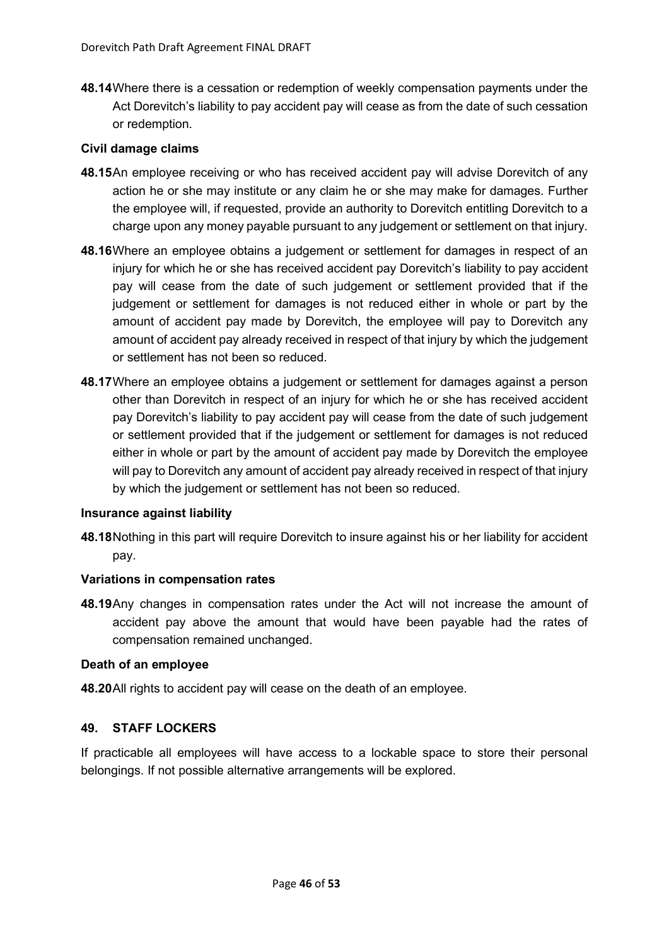**48.14**Where there is a cessation or redemption of weekly compensation payments under the Act Dorevitch's liability to pay accident pay will cease as from the date of such cessation or redemption.

## **Civil damage claims**

- **48.15**An employee receiving or who has received accident pay will advise Dorevitch of any action he or she may institute or any claim he or she may make for damages. Further the employee will, if requested, provide an authority to Dorevitch entitling Dorevitch to a charge upon any money payable pursuant to any judgement or settlement on that injury.
- **48.16**Where an employee obtains a judgement or settlement for damages in respect of an injury for which he or she has received accident pay Dorevitch's liability to pay accident pay will cease from the date of such judgement or settlement provided that if the judgement or settlement for damages is not reduced either in whole or part by the amount of accident pay made by Dorevitch, the employee will pay to Dorevitch any amount of accident pay already received in respect of that injury by which the judgement or settlement has not been so reduced.
- **48.17**Where an employee obtains a judgement or settlement for damages against a person other than Dorevitch in respect of an injury for which he or she has received accident pay Dorevitch's liability to pay accident pay will cease from the date of such judgement or settlement provided that if the judgement or settlement for damages is not reduced either in whole or part by the amount of accident pay made by Dorevitch the employee will pay to Dorevitch any amount of accident pay already received in respect of that injury by which the judgement or settlement has not been so reduced.

#### **Insurance against liability**

**48.18**Nothing in this part will require Dorevitch to insure against his or her liability for accident pay.

#### **Variations in compensation rates**

**48.19**Any changes in compensation rates under the Act will not increase the amount of accident pay above the amount that would have been payable had the rates of compensation remained unchanged.

#### **Death of an employee**

**48.20**All rights to accident pay will cease on the death of an employee.

#### <span id="page-45-0"></span>**49. STAFF LOCKERS**

If practicable all employees will have access to a lockable space to store their personal belongings. If not possible alternative arrangements will be explored.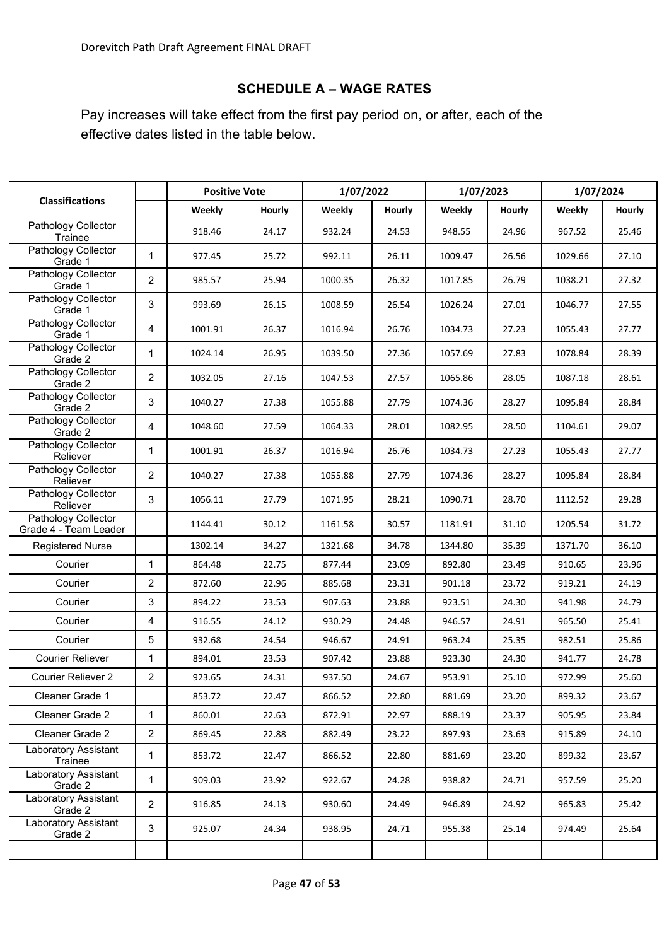# **SCHEDULE A – WAGE RATES**

<span id="page-46-0"></span>Pay increases will take effect from the first pay period on, or after, each of the effective dates listed in the table below.

|                                              |                | <b>Positive Vote</b> |        | 1/07/2022 |        | 1/07/2023 |        | 1/07/2024 |        |
|----------------------------------------------|----------------|----------------------|--------|-----------|--------|-----------|--------|-----------|--------|
| <b>Classifications</b>                       |                | Weekly               | Hourly | Weekly    | Hourly | Weekly    | Hourly | Weekly    | Hourly |
| Pathology Collector<br>Trainee               |                | 918.46               | 24.17  | 932.24    | 24.53  | 948.55    | 24.96  | 967.52    | 25.46  |
| Pathology Collector<br>Grade 1               | $\mathbf{1}$   | 977.45               | 25.72  | 992.11    | 26.11  | 1009.47   | 26.56  | 1029.66   | 27.10  |
| Pathology Collector<br>Grade 1               | $\overline{2}$ | 985.57               | 25.94  | 1000.35   | 26.32  | 1017.85   | 26.79  | 1038.21   | 27.32  |
| Pathology Collector<br>Grade 1               | 3              | 993.69               | 26.15  | 1008.59   | 26.54  | 1026.24   | 27.01  | 1046.77   | 27.55  |
| Pathology Collector<br>Grade 1               | 4              | 1001.91              | 26.37  | 1016.94   | 26.76  | 1034.73   | 27.23  | 1055.43   | 27.77  |
| Pathology Collector<br>Grade 2               | 1              | 1024.14              | 26.95  | 1039.50   | 27.36  | 1057.69   | 27.83  | 1078.84   | 28.39  |
| Pathology Collector<br>Grade 2               | $\overline{2}$ | 1032.05              | 27.16  | 1047.53   | 27.57  | 1065.86   | 28.05  | 1087.18   | 28.61  |
| Pathology Collector<br>Grade 2               | 3              | 1040.27              | 27.38  | 1055.88   | 27.79  | 1074.36   | 28.27  | 1095.84   | 28.84  |
| Pathology Collector<br>Grade 2               | 4              | 1048.60              | 27.59  | 1064.33   | 28.01  | 1082.95   | 28.50  | 1104.61   | 29.07  |
| Pathology Collector<br>Reliever              | $\mathbf{1}$   | 1001.91              | 26.37  | 1016.94   | 26.76  | 1034.73   | 27.23  | 1055.43   | 27.77  |
| Pathology Collector<br>Reliever              | $\overline{2}$ | 1040.27              | 27.38  | 1055.88   | 27.79  | 1074.36   | 28.27  | 1095.84   | 28.84  |
| Pathology Collector<br>Reliever              | 3              | 1056.11              | 27.79  | 1071.95   | 28.21  | 1090.71   | 28.70  | 1112.52   | 29.28  |
| Pathology Collector<br>Grade 4 - Team Leader |                | 1144.41              | 30.12  | 1161.58   | 30.57  | 1181.91   | 31.10  | 1205.54   | 31.72  |
| <b>Registered Nurse</b>                      |                | 1302.14              | 34.27  | 1321.68   | 34.78  | 1344.80   | 35.39  | 1371.70   | 36.10  |
| Courier                                      | $\mathbf{1}$   | 864.48               | 22.75  | 877.44    | 23.09  | 892.80    | 23.49  | 910.65    | 23.96  |
| Courier                                      | $\overline{2}$ | 872.60               | 22.96  | 885.68    | 23.31  | 901.18    | 23.72  | 919.21    | 24.19  |
| Courier                                      | 3              | 894.22               | 23.53  | 907.63    | 23.88  | 923.51    | 24.30  | 941.98    | 24.79  |
| Courier                                      | 4              | 916.55               | 24.12  | 930.29    | 24.48  | 946.57    | 24.91  | 965.50    | 25.41  |
| Courier                                      | 5              | 932.68               | 24.54  | 946.67    | 24.91  | 963.24    | 25.35  | 982.51    | 25.86  |
| <b>Courier Reliever</b>                      | $\mathbf{1}$   | 894.01               | 23.53  | 907.42    | 23.88  | 923.30    | 24.30  | 941.77    | 24.78  |
| <b>Courier Reliever 2</b>                    | 2              | 923.65               | 24.31  | 937.50    | 24.67  | 953.91    | 25.10  | 972.99    | 25.60  |
| Cleaner Grade 1                              |                | 853.72               | 22.47  | 866.52    | 22.80  | 881.69    | 23.20  | 899.32    | 23.67  |
| Cleaner Grade 2                              | $\mathbf{1}$   | 860.01               | 22.63  | 872.91    | 22.97  | 888.19    | 23.37  | 905.95    | 23.84  |
| Cleaner Grade 2                              | $\overline{2}$ | 869.45               | 22.88  | 882.49    | 23.22  | 897.93    | 23.63  | 915.89    | 24.10  |
| Laboratory Assistant<br>Trainee              | $\mathbf{1}$   | 853.72               | 22.47  | 866.52    | 22.80  | 881.69    | 23.20  | 899.32    | 23.67  |
| Laboratory Assistant<br>Grade 2              | $\mathbf{1}$   | 909.03               | 23.92  | 922.67    | 24.28  | 938.82    | 24.71  | 957.59    | 25.20  |
| Laboratory Assistant<br>Grade 2              | $\overline{c}$ | 916.85               | 24.13  | 930.60    | 24.49  | 946.89    | 24.92  | 965.83    | 25.42  |
| Laboratory Assistant<br>Grade 2              | 3              | 925.07               | 24.34  | 938.95    | 24.71  | 955.38    | 25.14  | 974.49    | 25.64  |
|                                              |                |                      |        |           |        |           |        |           |        |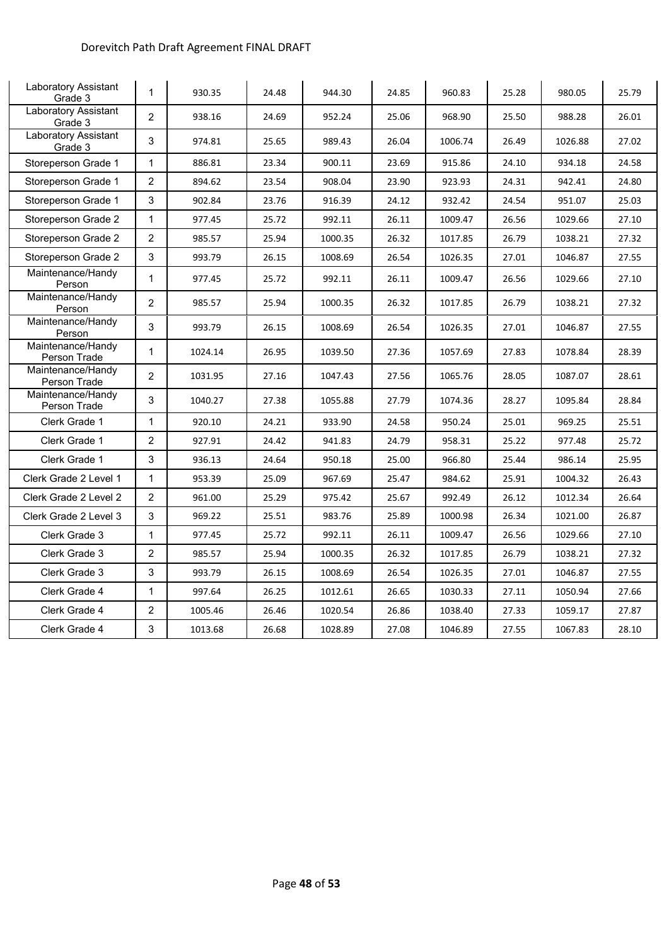# Dorevitch Path Draft Agreement FINAL DRAFT

<span id="page-47-0"></span>

| Laboratory Assistant<br>Grade 3        | $\mathbf{1}$   | 930.35  | 24.48 | 944.30  | 24.85 | 960.83  | 25.28 | 980.05  | 25.79 |
|----------------------------------------|----------------|---------|-------|---------|-------|---------|-------|---------|-------|
| <b>Laboratory Assistant</b><br>Grade 3 | $\overline{2}$ | 938.16  | 24.69 | 952.24  | 25.06 | 968.90  | 25.50 | 988.28  | 26.01 |
| Laboratory Assistant<br>Grade 3        | 3              | 974.81  | 25.65 | 989.43  | 26.04 | 1006.74 | 26.49 | 1026.88 | 27.02 |
| Storeperson Grade 1                    | $\mathbf{1}$   | 886.81  | 23.34 | 900.11  | 23.69 | 915.86  | 24.10 | 934.18  | 24.58 |
| Storeperson Grade 1                    | $\overline{c}$ | 894.62  | 23.54 | 908.04  | 23.90 | 923.93  | 24.31 | 942.41  | 24.80 |
| Storeperson Grade 1                    | 3              | 902.84  | 23.76 | 916.39  | 24.12 | 932.42  | 24.54 | 951.07  | 25.03 |
| Storeperson Grade 2                    | $\mathbf{1}$   | 977.45  | 25.72 | 992.11  | 26.11 | 1009.47 | 26.56 | 1029.66 | 27.10 |
| Storeperson Grade 2                    | $\overline{c}$ | 985.57  | 25.94 | 1000.35 | 26.32 | 1017.85 | 26.79 | 1038.21 | 27.32 |
| Storeperson Grade 2                    | 3              | 993.79  | 26.15 | 1008.69 | 26.54 | 1026.35 | 27.01 | 1046.87 | 27.55 |
| Maintenance/Handy<br>Person            | $\mathbf{1}$   | 977.45  | 25.72 | 992.11  | 26.11 | 1009.47 | 26.56 | 1029.66 | 27.10 |
| Maintenance/Handy<br>Person            | $\overline{2}$ | 985.57  | 25.94 | 1000.35 | 26.32 | 1017.85 | 26.79 | 1038.21 | 27.32 |
| Maintenance/Handy<br>Person            | 3              | 993.79  | 26.15 | 1008.69 | 26.54 | 1026.35 | 27.01 | 1046.87 | 27.55 |
| Maintenance/Handy<br>Person Trade      | 1              | 1024.14 | 26.95 | 1039.50 | 27.36 | 1057.69 | 27.83 | 1078.84 | 28.39 |
| Maintenance/Handy<br>Person Trade      | $\overline{2}$ | 1031.95 | 27.16 | 1047.43 | 27.56 | 1065.76 | 28.05 | 1087.07 | 28.61 |
| Maintenance/Handy<br>Person Trade      | 3              | 1040.27 | 27.38 | 1055.88 | 27.79 | 1074.36 | 28.27 | 1095.84 | 28.84 |
| Clerk Grade 1                          | $\mathbf{1}$   | 920.10  | 24.21 | 933.90  | 24.58 | 950.24  | 25.01 | 969.25  | 25.51 |
| Clerk Grade 1                          | $\overline{c}$ | 927.91  | 24.42 | 941.83  | 24.79 | 958.31  | 25.22 | 977.48  | 25.72 |
| Clerk Grade 1                          | 3              | 936.13  | 24.64 | 950.18  | 25.00 | 966.80  | 25.44 | 986.14  | 25.95 |
| Clerk Grade 2 Level 1                  | $\mathbf{1}$   | 953.39  | 25.09 | 967.69  | 25.47 | 984.62  | 25.91 | 1004.32 | 26.43 |
| Clerk Grade 2 Level 2                  | $\overline{2}$ | 961.00  | 25.29 | 975.42  | 25.67 | 992.49  | 26.12 | 1012.34 | 26.64 |
| Clerk Grade 2 Level 3                  | 3              | 969.22  | 25.51 | 983.76  | 25.89 | 1000.98 | 26.34 | 1021.00 | 26.87 |
| Clerk Grade 3                          | $\mathbf{1}$   | 977.45  | 25.72 | 992.11  | 26.11 | 1009.47 | 26.56 | 1029.66 | 27.10 |
| Clerk Grade 3                          | $\overline{c}$ | 985.57  | 25.94 | 1000.35 | 26.32 | 1017.85 | 26.79 | 1038.21 | 27.32 |
| Clerk Grade 3                          | 3              | 993.79  | 26.15 | 1008.69 | 26.54 | 1026.35 | 27.01 | 1046.87 | 27.55 |
| Clerk Grade 4                          | $\mathbf{1}$   | 997.64  | 26.25 | 1012.61 | 26.65 | 1030.33 | 27.11 | 1050.94 | 27.66 |
| Clerk Grade 4                          | $\overline{2}$ | 1005.46 | 26.46 | 1020.54 | 26.86 | 1038.40 | 27.33 | 1059.17 | 27.87 |
| Clerk Grade 4                          | 3              | 1013.68 | 26.68 | 1028.89 | 27.08 | 1046.89 | 27.55 | 1067.83 | 28.10 |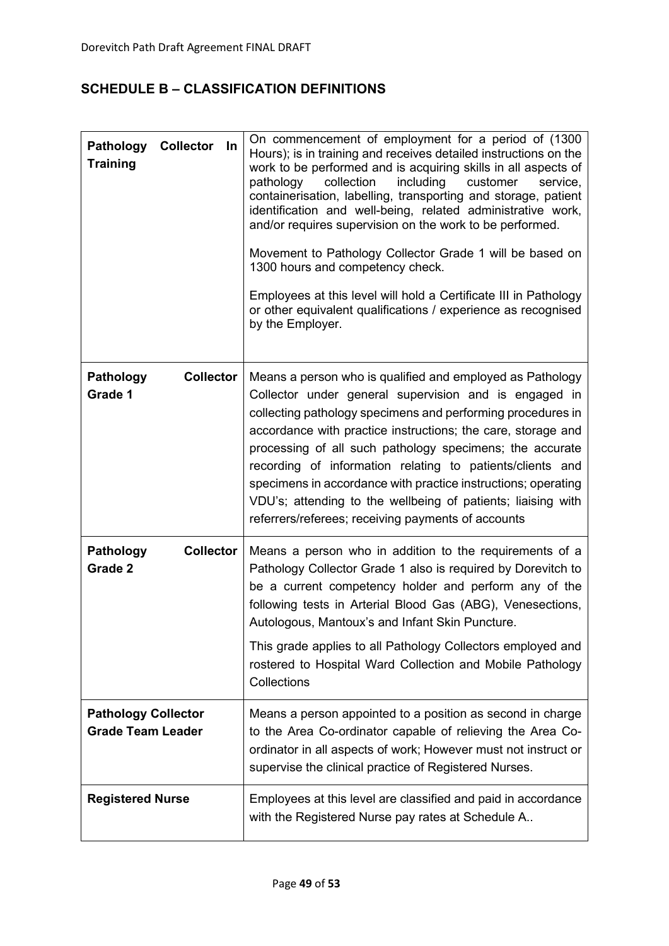# **SCHEDULE B – CLASSIFICATION DEFINITIONS**

| <b>Collector</b><br><b>Pathology</b><br>In<br><b>Training</b> | On commencement of employment for a period of (1300)<br>Hours); is in training and receives detailed instructions on the<br>work to be performed and is acquiring skills in all aspects of<br>collection<br>including<br>pathology<br>customer<br>service,<br>containerisation, labelling, transporting and storage, patient<br>identification and well-being, related administrative work,<br>and/or requires supervision on the work to be performed.<br>Movement to Pathology Collector Grade 1 will be based on<br>1300 hours and competency check.<br>Employees at this level will hold a Certificate III in Pathology<br>or other equivalent qualifications / experience as recognised<br>by the Employer. |
|---------------------------------------------------------------|------------------------------------------------------------------------------------------------------------------------------------------------------------------------------------------------------------------------------------------------------------------------------------------------------------------------------------------------------------------------------------------------------------------------------------------------------------------------------------------------------------------------------------------------------------------------------------------------------------------------------------------------------------------------------------------------------------------|
| <b>Pathology</b><br><b>Collector</b><br>Grade 1               | Means a person who is qualified and employed as Pathology<br>Collector under general supervision and is engaged in<br>collecting pathology specimens and performing procedures in<br>accordance with practice instructions; the care, storage and<br>processing of all such pathology specimens; the accurate<br>recording of information relating to patients/clients and<br>specimens in accordance with practice instructions; operating<br>VDU's; attending to the wellbeing of patients; liaising with<br>referrers/referees; receiving payments of accounts                                                                                                                                                |
| <b>Collector</b><br><b>Pathology</b><br>Grade 2               | Means a person who in addition to the requirements of a<br>Pathology Collector Grade 1 also is required by Dorevitch to<br>be a current competency holder and perform any of the<br>following tests in Arterial Blood Gas (ABG), Venesections,<br>Autologous, Mantoux's and Infant Skin Puncture.<br>This grade applies to all Pathology Collectors employed and<br>rostered to Hospital Ward Collection and Mobile Pathology<br>Collections                                                                                                                                                                                                                                                                     |
| <b>Pathology Collector</b><br><b>Grade Team Leader</b>        | Means a person appointed to a position as second in charge<br>to the Area Co-ordinator capable of relieving the Area Co-<br>ordinator in all aspects of work; However must not instruct or<br>supervise the clinical practice of Registered Nurses.                                                                                                                                                                                                                                                                                                                                                                                                                                                              |
| <b>Registered Nurse</b>                                       | Employees at this level are classified and paid in accordance<br>with the Registered Nurse pay rates at Schedule A                                                                                                                                                                                                                                                                                                                                                                                                                                                                                                                                                                                               |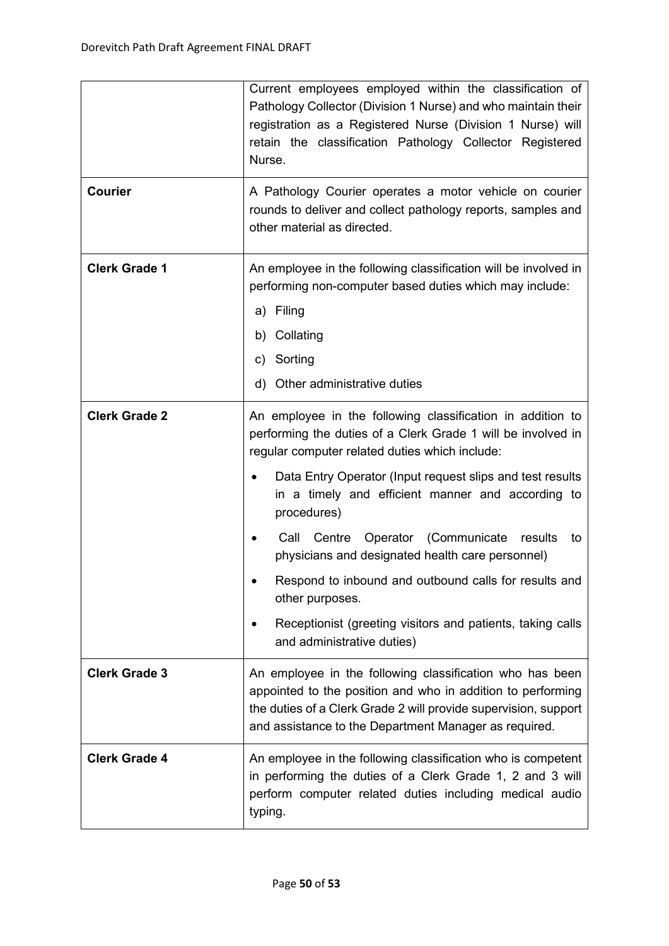|                      | Current employees employed within the classification of<br>Pathology Collector (Division 1 Nurse) and who maintain their<br>registration as a Registered Nurse (Division 1 Nurse) will<br>retain the classification Pathology Collector Registered<br>Nurse.                                                                                                                                                                                                                                                                                                                                          |  |  |  |  |
|----------------------|-------------------------------------------------------------------------------------------------------------------------------------------------------------------------------------------------------------------------------------------------------------------------------------------------------------------------------------------------------------------------------------------------------------------------------------------------------------------------------------------------------------------------------------------------------------------------------------------------------|--|--|--|--|
| <b>Courier</b>       | A Pathology Courier operates a motor vehicle on courier<br>rounds to deliver and collect pathology reports, samples and<br>other material as directed.                                                                                                                                                                                                                                                                                                                                                                                                                                                |  |  |  |  |
| <b>Clerk Grade 1</b> | An employee in the following classification will be involved in<br>performing non-computer based duties which may include:<br>a) Filing<br>b) Collating<br>Sorting<br>C)<br>d)<br>Other administrative duties                                                                                                                                                                                                                                                                                                                                                                                         |  |  |  |  |
| <b>Clerk Grade 2</b> | An employee in the following classification in addition to<br>performing the duties of a Clerk Grade 1 will be involved in<br>regular computer related duties which include:<br>Data Entry Operator (Input request slips and test results<br>in a timely and efficient manner and according to<br>procedures)<br>Operator<br>(Communicate results<br>Call<br>Centre<br>to<br>physicians and designated health care personnel)<br>Respond to inbound and outbound calls for results and<br>other purposes.<br>Receptionist (greeting visitors and patients, taking calls<br>and administrative duties) |  |  |  |  |
| <b>Clerk Grade 3</b> | An employee in the following classification who has been<br>appointed to the position and who in addition to performing<br>the duties of a Clerk Grade 2 will provide supervision, support<br>and assistance to the Department Manager as required.                                                                                                                                                                                                                                                                                                                                                   |  |  |  |  |
| <b>Clerk Grade 4</b> | An employee in the following classification who is competent<br>in performing the duties of a Clerk Grade 1, 2 and 3 will<br>perform computer related duties including medical audio<br>typing.                                                                                                                                                                                                                                                                                                                                                                                                       |  |  |  |  |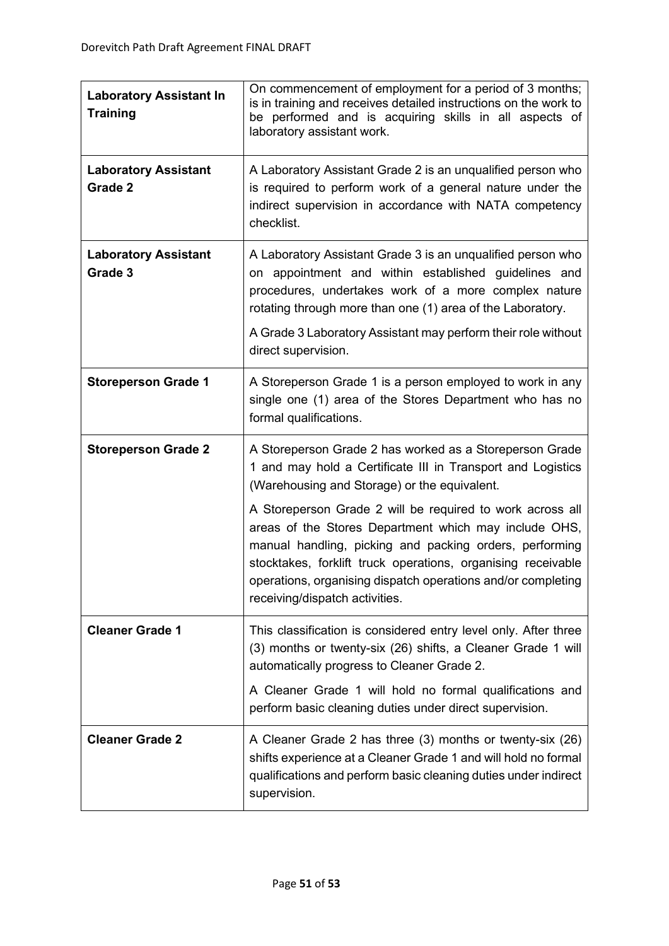| <b>Laboratory Assistant In</b><br><b>Training</b> | On commencement of employment for a period of 3 months;<br>is in training and receives detailed instructions on the work to<br>be performed and is acquiring skills in all aspects of<br>laboratory assistant work.                                                                                                                             |  |  |
|---------------------------------------------------|-------------------------------------------------------------------------------------------------------------------------------------------------------------------------------------------------------------------------------------------------------------------------------------------------------------------------------------------------|--|--|
| <b>Laboratory Assistant</b><br>Grade 2            | A Laboratory Assistant Grade 2 is an unqualified person who<br>is required to perform work of a general nature under the<br>indirect supervision in accordance with NATA competency<br>checklist.                                                                                                                                               |  |  |
| <b>Laboratory Assistant</b><br>Grade 3            | A Laboratory Assistant Grade 3 is an unqualified person who<br>on appointment and within established guidelines and<br>procedures, undertakes work of a more complex nature<br>rotating through more than one (1) area of the Laboratory.<br>A Grade 3 Laboratory Assistant may perform their role without<br>direct supervision.               |  |  |
| <b>Storeperson Grade 1</b>                        | A Storeperson Grade 1 is a person employed to work in any<br>single one (1) area of the Stores Department who has no<br>formal qualifications.                                                                                                                                                                                                  |  |  |
| <b>Storeperson Grade 2</b>                        | A Storeperson Grade 2 has worked as a Storeperson Grade<br>1 and may hold a Certificate III in Transport and Logistics<br>(Warehousing and Storage) or the equivalent.                                                                                                                                                                          |  |  |
|                                                   | A Storeperson Grade 2 will be required to work across all<br>areas of the Stores Department which may include OHS,<br>manual handling, picking and packing orders, performing<br>stocktakes, forklift truck operations, organising receivable<br>operations, organising dispatch operations and/or completing<br>receiving/dispatch activities. |  |  |
| <b>Cleaner Grade 1</b>                            | This classification is considered entry level only. After three<br>(3) months or twenty-six (26) shifts, a Cleaner Grade 1 will<br>automatically progress to Cleaner Grade 2.                                                                                                                                                                   |  |  |
|                                                   | A Cleaner Grade 1 will hold no formal qualifications and<br>perform basic cleaning duties under direct supervision.                                                                                                                                                                                                                             |  |  |
| <b>Cleaner Grade 2</b>                            | A Cleaner Grade 2 has three (3) months or twenty-six (26)<br>shifts experience at a Cleaner Grade 1 and will hold no formal<br>qualifications and perform basic cleaning duties under indirect<br>supervision.                                                                                                                                  |  |  |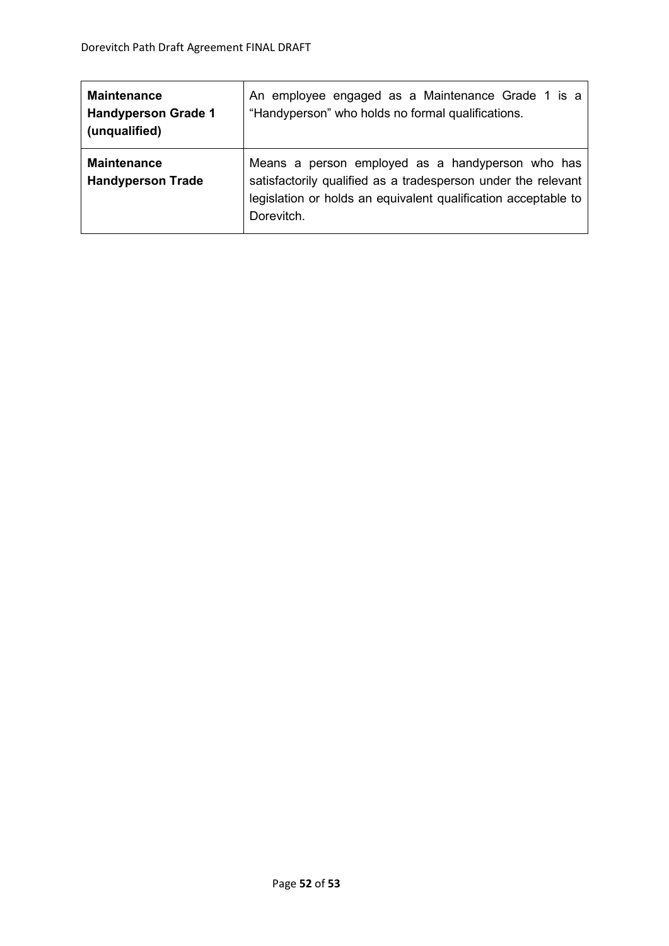| <b>Maintenance</b><br><b>Handyperson Grade 1</b><br>(unqualified) | An employee engaged as a Maintenance Grade 1 is a<br>"Handyperson" who holds no formal qualifications.                                                                                            |
|-------------------------------------------------------------------|---------------------------------------------------------------------------------------------------------------------------------------------------------------------------------------------------|
| <b>Maintenance</b><br><b>Handyperson Trade</b>                    | Means a person employed as a handyperson who has<br>satisfactorily qualified as a tradesperson under the relevant<br>legislation or holds an equivalent qualification acceptable to<br>Dorevitch. |